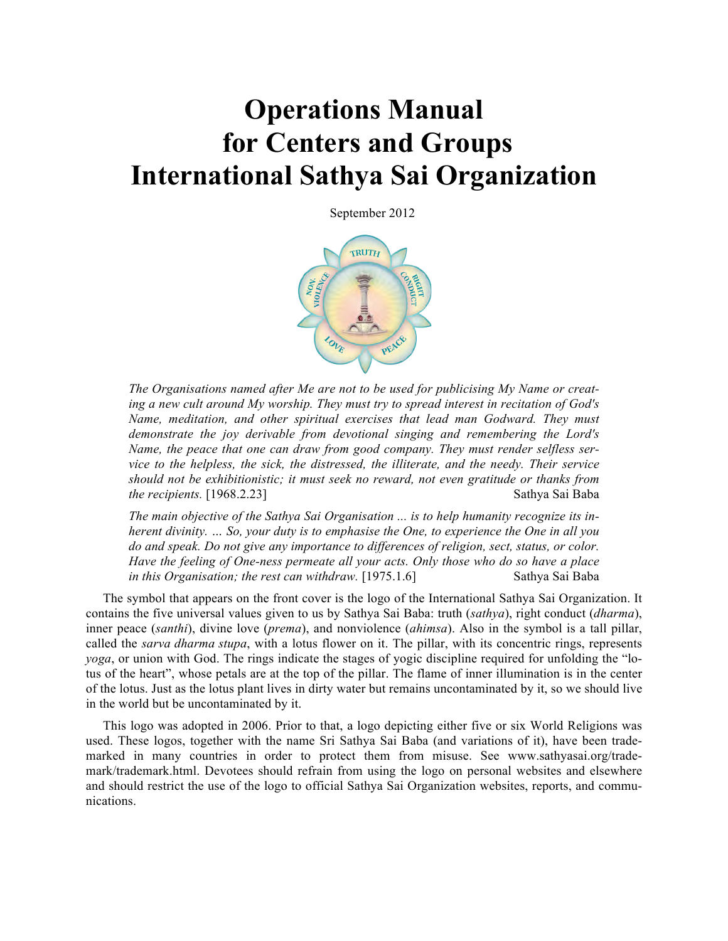# **Operations Manual for Centers and Groups International Sathya Sai Organization**

September 2012



*The Organisations named after Me are not to be used for publicising My Name or creating a new cult around My worship. They must try to spread interest in recitation of God's Name, meditation, and other spiritual exercises that lead man Godward. They must demonstrate the joy derivable from devotional singing and remembering the Lord's Name, the peace that one can draw from good company. They must render selfless service to the helpless, the sick, the distressed, the illiterate, and the needy. Their service should not be exhibitionistic; it must seek no reward, not even gratitude or thanks from the recipients.* [1968.2.23] Sathya Sai Baba

*The main objective of the Sathya Sai Organisation ... is to help humanity recognize its inherent divinity. … So, your duty is to emphasise the One, to experience the One in all you do and speak. Do not give any importance to differences of religion, sect, status, or color. Have the feeling of One-ness permeate all your acts. Only those who do so have a place in this Organisation; the rest can withdraw.* [1975.1.6] Sathya Sai Baba

The symbol that appears on the front cover is the logo of the International Sathya Sai Organization. It contains the five universal values given to us by Sathya Sai Baba: truth (*sathya*), right conduct (*dharma*), inner peace (*santhi*), divine love (*prema*), and nonviolence (*ahimsa*). Also in the symbol is a tall pillar, called the *sarva dharma stupa*, with a lotus flower on it. The pillar, with its concentric rings, represents *yoga*, or union with God. The rings indicate the stages of yogic discipline required for unfolding the "lotus of the heart", whose petals are at the top of the pillar. The flame of inner illumination is in the center of the lotus. Just as the lotus plant lives in dirty water but remains uncontaminated by it, so we should live in the world but be uncontaminated by it.

This logo was adopted in 2006. Prior to that, a logo depicting either five or six World Religions was used. These logos, together with the name Sri Sathya Sai Baba (and variations of it), have been trademarked in many countries in order to protect them from misuse. See www.sathyasai.org/trademark/trademark.html. Devotees should refrain from using the logo on personal websites and elsewhere and should restrict the use of the logo to official Sathya Sai Organization websites, reports, and communications.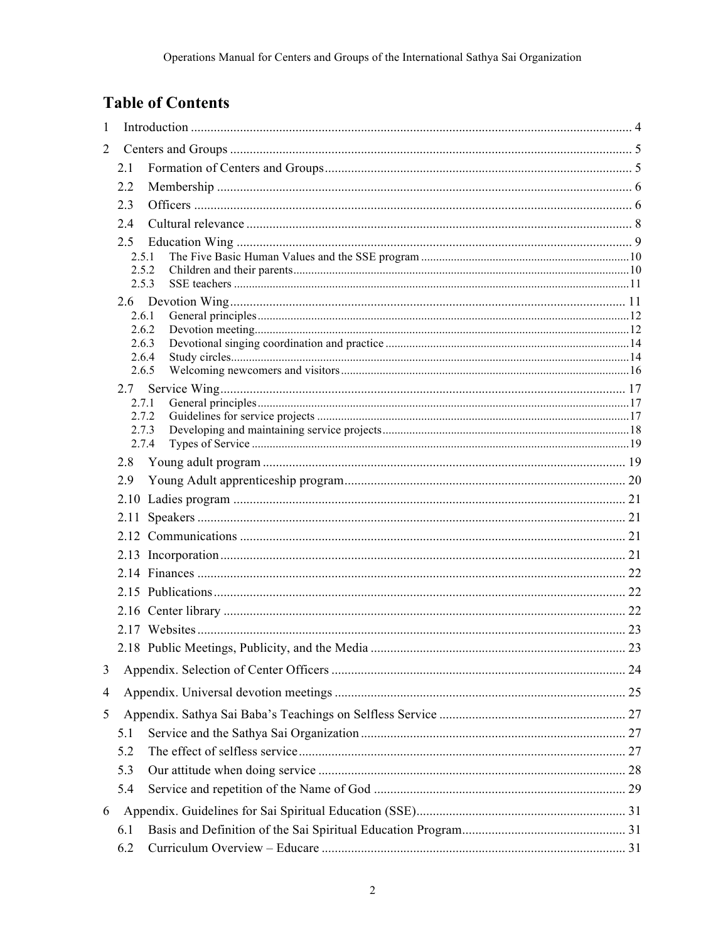# **Table of Contents**

| $\mathbf{1}$   |                |  |  |  |  |
|----------------|----------------|--|--|--|--|
| $\overline{2}$ |                |  |  |  |  |
|                | 2.1            |  |  |  |  |
|                | 2.2            |  |  |  |  |
|                | 2.3            |  |  |  |  |
|                | 2.4            |  |  |  |  |
|                | 2.5            |  |  |  |  |
|                | 2.5.1          |  |  |  |  |
|                | 2.5.2<br>2.5.3 |  |  |  |  |
|                |                |  |  |  |  |
|                | 2.6.1          |  |  |  |  |
|                | 2.6.2          |  |  |  |  |
|                | 2.6.3<br>2.6.4 |  |  |  |  |
|                | 2.6.5          |  |  |  |  |
|                | 2.7            |  |  |  |  |
|                | 2.7.1          |  |  |  |  |
|                | 2.7.2<br>2.7.3 |  |  |  |  |
|                | 2.7.4          |  |  |  |  |
|                | 2.8            |  |  |  |  |
|                | 2.9            |  |  |  |  |
|                |                |  |  |  |  |
|                |                |  |  |  |  |
|                |                |  |  |  |  |
|                |                |  |  |  |  |
|                |                |  |  |  |  |
|                |                |  |  |  |  |
|                |                |  |  |  |  |
|                |                |  |  |  |  |
|                |                |  |  |  |  |
|                |                |  |  |  |  |
| 3              |                |  |  |  |  |
| 4              |                |  |  |  |  |
| 5              |                |  |  |  |  |
|                | 5.1            |  |  |  |  |
|                | 5.2            |  |  |  |  |
|                | 5.3            |  |  |  |  |
|                | 5.4            |  |  |  |  |
| 6              |                |  |  |  |  |
|                | 6.1            |  |  |  |  |
|                | 6.2            |  |  |  |  |
|                |                |  |  |  |  |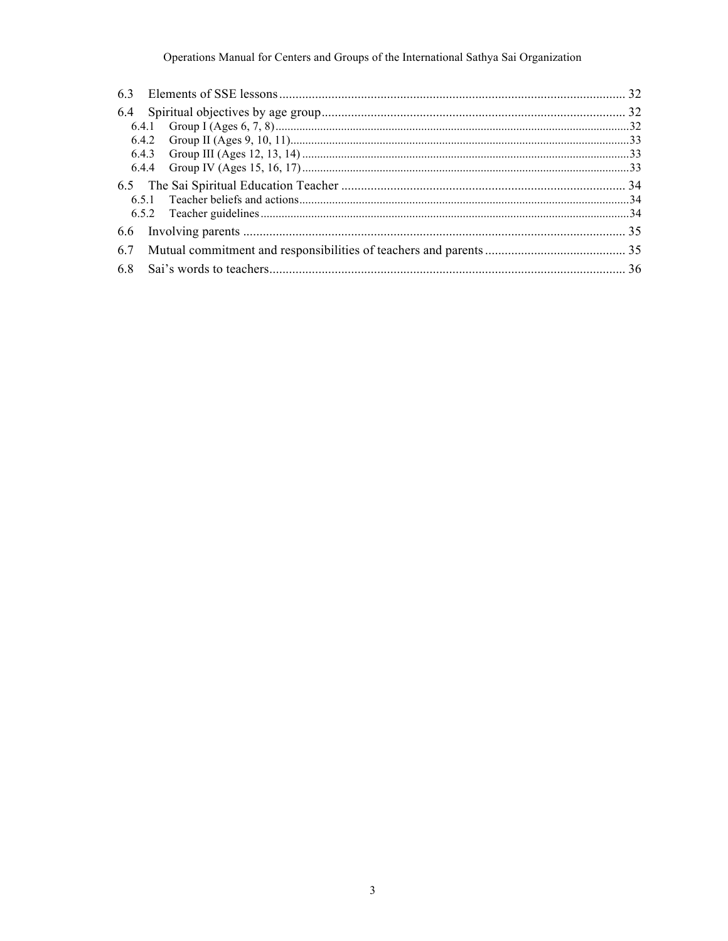# Operations Manual for Centers and Groups of the International Sathya Sai Organization

| 6.7 |  |  |
|-----|--|--|
| 6.8 |  |  |
|     |  |  |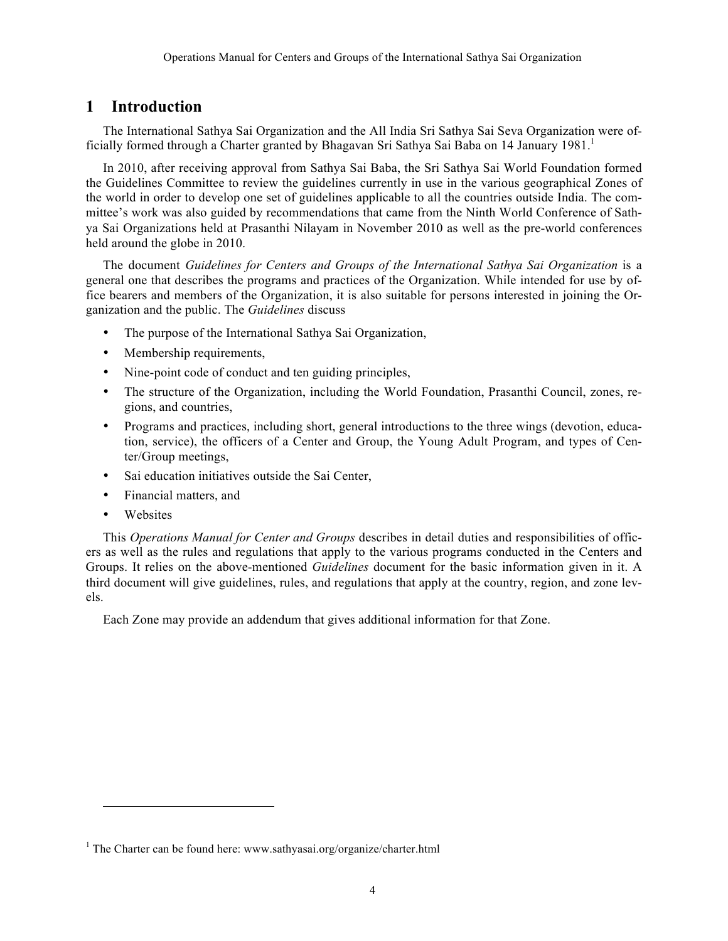# **1 Introduction**

The International Sathya Sai Organization and the All India Sri Sathya Sai Seva Organization were officially formed through a Charter granted by Bhagavan Sri Sathya Sai Baba on 14 January 1981.

In 2010, after receiving approval from Sathya Sai Baba, the Sri Sathya Sai World Foundation formed the Guidelines Committee to review the guidelines currently in use in the various geographical Zones of the world in order to develop one set of guidelines applicable to all the countries outside India. The committee's work was also guided by recommendations that came from the Ninth World Conference of Sathya Sai Organizations held at Prasanthi Nilayam in November 2010 as well as the pre-world conferences held around the globe in 2010.

The document *Guidelines for Centers and Groups of the International Sathya Sai Organization* is a general one that describes the programs and practices of the Organization. While intended for use by office bearers and members of the Organization, it is also suitable for persons interested in joining the Organization and the public. The *Guidelines* discuss

- The purpose of the International Sathya Sai Organization,
- Membership requirements,
- Nine-point code of conduct and ten guiding principles,
- The structure of the Organization, including the World Foundation, Prasanthi Council, zones, regions, and countries,
- Programs and practices, including short, general introductions to the three wings (devotion, education, service), the officers of a Center and Group, the Young Adult Program, and types of Center/Group meetings,
- Sai education initiatives outside the Sai Center,
- Financial matters, and
- **Websites**

1

This *Operations Manual for Center and Groups* describes in detail duties and responsibilities of officers as well as the rules and regulations that apply to the various programs conducted in the Centers and Groups. It relies on the above-mentioned *Guidelines* document for the basic information given in it. A third document will give guidelines, rules, and regulations that apply at the country, region, and zone levels.

Each Zone may provide an addendum that gives additional information for that Zone.

<sup>&</sup>lt;sup>1</sup> The Charter can be found here: www.sathyasai.org/organize/charter.html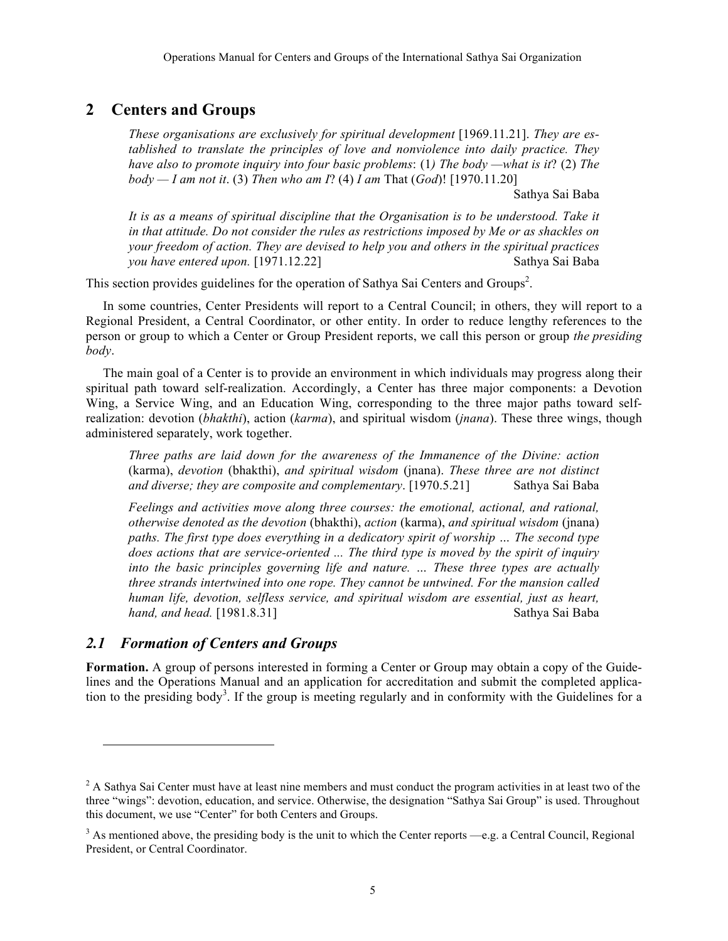# **2 Centers and Groups**

*These organisations are exclusively for spiritual development* [1969.11.21]. *They are established to translate the principles of love and nonviolence into daily practice. They have also to promote inquiry into four basic problems*: (1*) The body —what is it*? (2) *The body — I am not it*. (3) *Then who am I*? (4) *I am* That (*God*)! [1970.11.20]

Sathya Sai Baba

It is as a means of spiritual discipline that the Organisation is to be understood. Take it *in that attitude. Do not consider the rules as restrictions imposed by Me or as shackles on your freedom of action. They are devised to help you and others in the spiritual practices you have entered upon.* [1971.12.22] Sathya Sai Baba

This section provides guidelines for the operation of Sathya Sai Centers and Groups<sup>2</sup>.

In some countries, Center Presidents will report to a Central Council; in others, they will report to a Regional President, a Central Coordinator, or other entity. In order to reduce lengthy references to the person or group to which a Center or Group President reports, we call this person or group *the presiding body*.

The main goal of a Center is to provide an environment in which individuals may progress along their spiritual path toward self-realization. Accordingly, a Center has three major components: a Devotion Wing, a Service Wing, and an Education Wing, corresponding to the three major paths toward selfrealization: devotion (*bhakthi*), action (*karma*), and spiritual wisdom (*jnana*). These three wings, though administered separately, work together.

*Three paths are laid down for the awareness of the Immanence of the Divine: action*  (karma), *devotion* (bhakthi), *and spiritual wisdom* (jnana). *These three are not distinct and diverse; they are composite and complementary*. [1970.5.21] Sathya Sai Baba

*Feelings and activities move along three courses: the emotional, actional, and rational, otherwise denoted as the devotion* (bhakthi), *action* (karma), *and spiritual wisdom* (jnana) *paths. The first type does everything in a dedicatory spirit of worship … The second type does actions that are service-oriented ... The third type is moved by the spirit of inquiry into the basic principles governing life and nature. … These three types are actually three strands intertwined into one rope. They cannot be untwined. For the mansion called human life, devotion, selfless service, and spiritual wisdom are essential, just as heart, hand, and head.* [1981.8.31] Sathya Sai Baba

# *2.1 Formation of Centers and Groups*

l

**Formation.** A group of persons interested in forming a Center or Group may obtain a copy of the Guidelines and the Operations Manual and an application for accreditation and submit the completed application to the presiding body<sup>3</sup>. If the group is meeting regularly and in conformity with the Guidelines for a

<sup>&</sup>lt;sup>2</sup> A Sathya Sai Center must have at least nine members and must conduct the program activities in at least two of the three "wings": devotion, education, and service. Otherwise, the designation "Sathya Sai Group" is used. Throughout this document, we use "Center" for both Centers and Groups.

 $3$  As mentioned above, the presiding body is the unit to which the Center reports —e.g. a Central Council, Regional President, or Central Coordinator.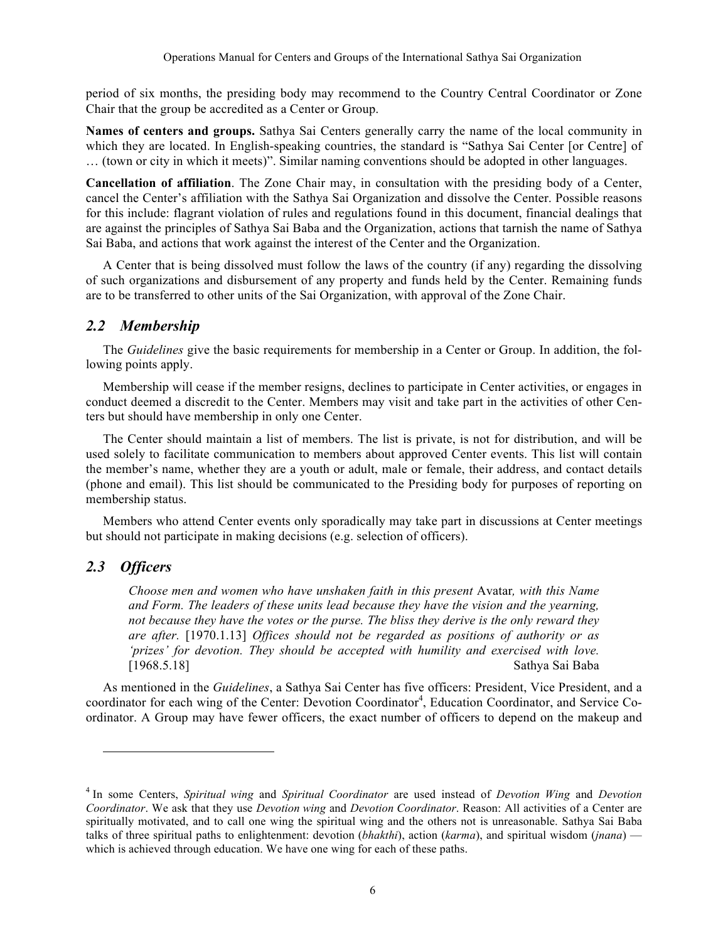period of six months, the presiding body may recommend to the Country Central Coordinator or Zone Chair that the group be accredited as a Center or Group.

**Names of centers and groups.** Sathya Sai Centers generally carry the name of the local community in which they are located. In English-speaking countries, the standard is "Sathya Sai Center [or Centre] of … (town or city in which it meets)". Similar naming conventions should be adopted in other languages.

**Cancellation of affiliation**. The Zone Chair may, in consultation with the presiding body of a Center, cancel the Center's affiliation with the Sathya Sai Organization and dissolve the Center. Possible reasons for this include: flagrant violation of rules and regulations found in this document, financial dealings that are against the principles of Sathya Sai Baba and the Organization, actions that tarnish the name of Sathya Sai Baba, and actions that work against the interest of the Center and the Organization.

A Center that is being dissolved must follow the laws of the country (if any) regarding the dissolving of such organizations and disbursement of any property and funds held by the Center. Remaining funds are to be transferred to other units of the Sai Organization, with approval of the Zone Chair.

### *2.2 Membership*

The *Guidelines* give the basic requirements for membership in a Center or Group. In addition, the following points apply.

Membership will cease if the member resigns, declines to participate in Center activities, or engages in conduct deemed a discredit to the Center. Members may visit and take part in the activities of other Centers but should have membership in only one Center.

The Center should maintain a list of members. The list is private, is not for distribution, and will be used solely to facilitate communication to members about approved Center events. This list will contain the member's name, whether they are a youth or adult, male or female, their address, and contact details (phone and email). This list should be communicated to the Presiding body for purposes of reporting on membership status.

Members who attend Center events only sporadically may take part in discussions at Center meetings but should not participate in making decisions (e.g. selection of officers).

### *2.3 Officers*

l

*Choose men and women who have unshaken faith in this present* Avatar*, with this Name and Form. The leaders of these units lead because they have the vision and the yearning, not because they have the votes or the purse. The bliss they derive is the only reward they are after.* [1970.1.13] *Offices should not be regarded as positions of authority or as 'prizes' for devotion. They should be accepted with humility and exercised with love.*  [1968.5.18] Sathya Sai Baba

As mentioned in the *Guidelines*, a Sathya Sai Center has five officers: President, Vice President, and a coordinator for each wing of the Center: Devotion Coordinator<sup>4</sup>, Education Coordinator, and Service Coordinator. A Group may have fewer officers, the exact number of officers to depend on the makeup and

<sup>4</sup> In some Centers, *Spiritual wing* and *Spiritual Coordinator* are used instead of *Devotion Wing* and *Devotion Coordinator*. We ask that they use *Devotion wing* and *Devotion Coordinator*. Reason: All activities of a Center are spiritually motivated, and to call one wing the spiritual wing and the others not is unreasonable. Sathya Sai Baba talks of three spiritual paths to enlightenment: devotion (*bhakthi*), action (*karma*), and spiritual wisdom (*jnana*) which is achieved through education. We have one wing for each of these paths.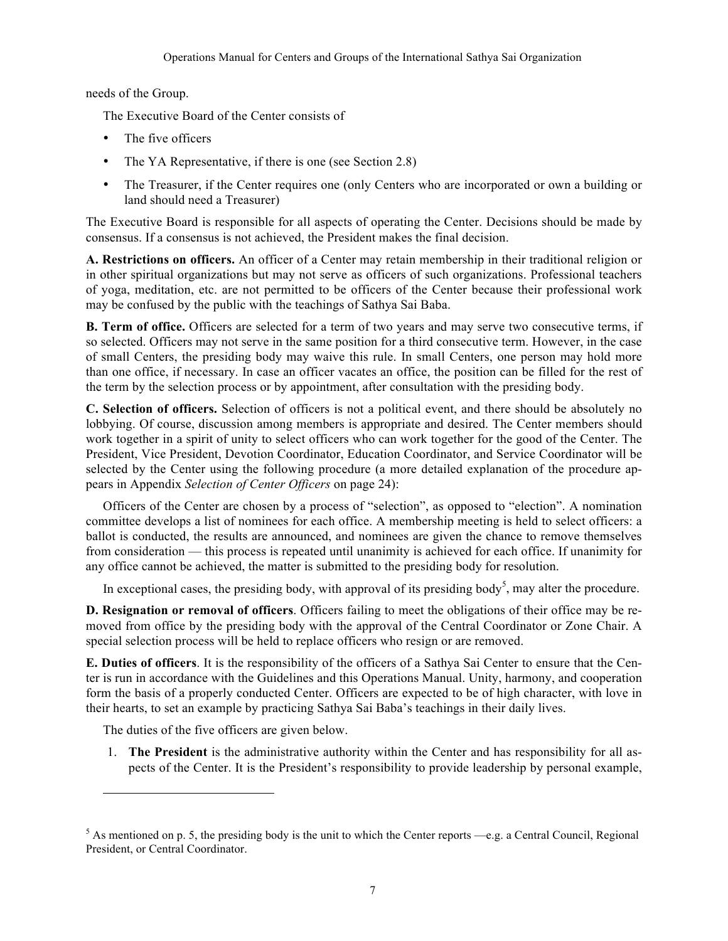needs of the Group.

The Executive Board of the Center consists of

- The five officers
- The YA Representative, if there is one (see Section 2.8)
- The Treasurer, if the Center requires one (only Centers who are incorporated or own a building or land should need a Treasurer)

The Executive Board is responsible for all aspects of operating the Center. Decisions should be made by consensus. If a consensus is not achieved, the President makes the final decision.

**A. Restrictions on officers.** An officer of a Center may retain membership in their traditional religion or in other spiritual organizations but may not serve as officers of such organizations. Professional teachers of yoga, meditation, etc. are not permitted to be officers of the Center because their professional work may be confused by the public with the teachings of Sathya Sai Baba.

**B. Term of office.** Officers are selected for a term of two years and may serve two consecutive terms, if so selected. Officers may not serve in the same position for a third consecutive term. However, in the case of small Centers, the presiding body may waive this rule. In small Centers, one person may hold more than one office, if necessary. In case an officer vacates an office, the position can be filled for the rest of the term by the selection process or by appointment, after consultation with the presiding body.

**C. Selection of officers.** Selection of officers is not a political event, and there should be absolutely no lobbying. Of course, discussion among members is appropriate and desired. The Center members should work together in a spirit of unity to select officers who can work together for the good of the Center. The President, Vice President, Devotion Coordinator, Education Coordinator, and Service Coordinator will be selected by the Center using the following procedure (a more detailed explanation of the procedure appears in Appendix *Selection of Center Officers* on page 24):

Officers of the Center are chosen by a process of "selection", as opposed to "election". A nomination committee develops a list of nominees for each office. A membership meeting is held to select officers: a ballot is conducted, the results are announced, and nominees are given the chance to remove themselves from consideration — this process is repeated until unanimity is achieved for each office. If unanimity for any office cannot be achieved, the matter is submitted to the presiding body for resolution.

In exceptional cases, the presiding body, with approval of its presiding body<sup>5</sup>, may alter the procedure.

**D. Resignation or removal of officers**. Officers failing to meet the obligations of their office may be removed from office by the presiding body with the approval of the Central Coordinator or Zone Chair. A special selection process will be held to replace officers who resign or are removed.

**E. Duties of officers**. It is the responsibility of the officers of a Sathya Sai Center to ensure that the Center is run in accordance with the Guidelines and this Operations Manual. Unity, harmony, and cooperation form the basis of a properly conducted Center. Officers are expected to be of high character, with love in their hearts, to set an example by practicing Sathya Sai Baba's teachings in their daily lives.

The duties of the five officers are given below.

l

1. **The President** is the administrative authority within the Center and has responsibility for all aspects of the Center. It is the President's responsibility to provide leadership by personal example,

 $5$  As mentioned on p. 5, the presiding body is the unit to which the Center reports —e.g. a Central Council, Regional President, or Central Coordinator.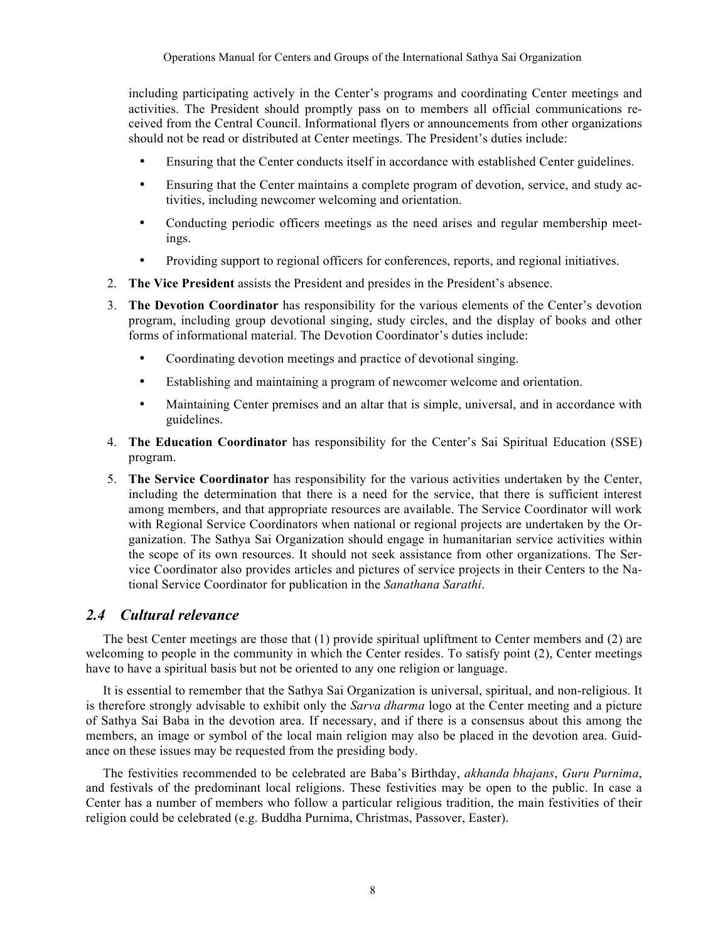including participating actively in the Center's programs and coordinating Center meetings and activities. The President should promptly pass on to members all official communications received from the Central Council. Informational flyers or announcements from other organizations should not be read or distributed at Center meetings. The President's duties include:

- Ensuring that the Center conducts itself in accordance with established Center guidelines.
- Ensuring that the Center maintains a complete program of devotion, service, and study activities, including newcomer welcoming and orientation.
- Conducting periodic officers meetings as the need arises and regular membership meetings.
- Providing support to regional officers for conferences, reports, and regional initiatives.
- 2. **The Vice President** assists the President and presides in the President's absence.
- 3. **The Devotion Coordinator** has responsibility for the various elements of the Center's devotion program, including group devotional singing, study circles, and the display of books and other forms of informational material. The Devotion Coordinator's duties include:
	- Coordinating devotion meetings and practice of devotional singing.
	- Establishing and maintaining a program of newcomer welcome and orientation.
	- Maintaining Center premises and an altar that is simple, universal, and in accordance with guidelines.
- 4. **The Education Coordinator** has responsibility for the Center's Sai Spiritual Education (SSE) program.
- 5. **The Service Coordinator** has responsibility for the various activities undertaken by the Center, including the determination that there is a need for the service, that there is sufficient interest among members, and that appropriate resources are available. The Service Coordinator will work with Regional Service Coordinators when national or regional projects are undertaken by the Organization. The Sathya Sai Organization should engage in humanitarian service activities within the scope of its own resources. It should not seek assistance from other organizations. The Service Coordinator also provides articles and pictures of service projects in their Centers to the National Service Coordinator for publication in the *Sanathana Sarathi*.

# *2.4 Cultural relevance*

The best Center meetings are those that (1) provide spiritual upliftment to Center members and (2) are welcoming to people in the community in which the Center resides. To satisfy point (2), Center meetings have to have a spiritual basis but not be oriented to any one religion or language.

It is essential to remember that the Sathya Sai Organization is universal, spiritual, and non-religious. It is therefore strongly advisable to exhibit only the *Sarva dharma* logo at the Center meeting and a picture of Sathya Sai Baba in the devotion area. If necessary, and if there is a consensus about this among the members, an image or symbol of the local main religion may also be placed in the devotion area. Guidance on these issues may be requested from the presiding body.

The festivities recommended to be celebrated are Baba's Birthday, *akhanda bhajans*, *Guru Purnima*, and festivals of the predominant local religions. These festivities may be open to the public. In case a Center has a number of members who follow a particular religious tradition, the main festivities of their religion could be celebrated (e.g. Buddha Purnima, Christmas, Passover, Easter).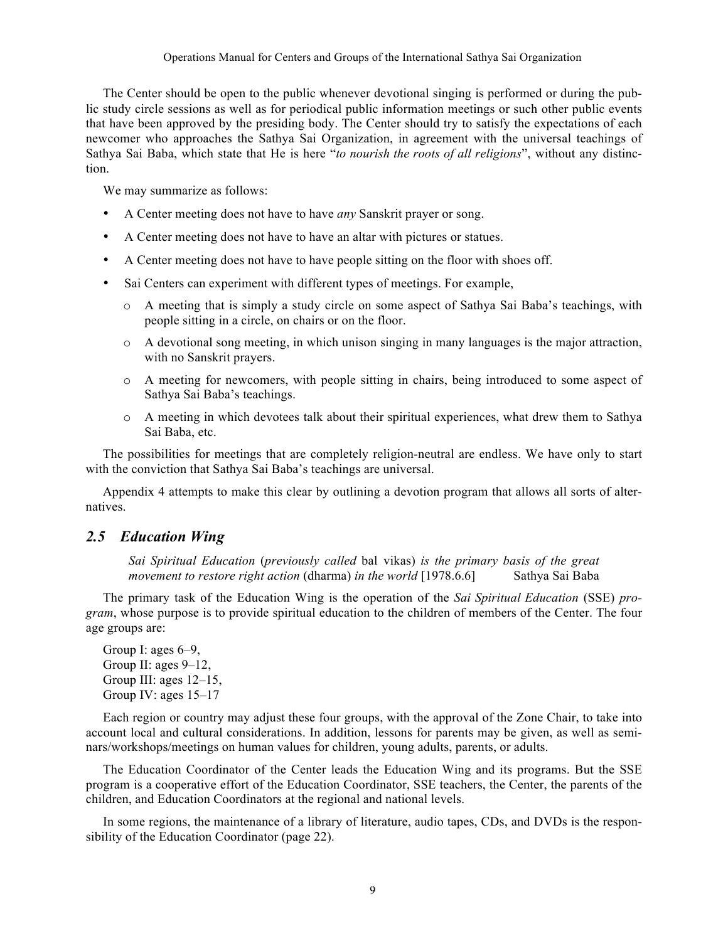The Center should be open to the public whenever devotional singing is performed or during the public study circle sessions as well as for periodical public information meetings or such other public events that have been approved by the presiding body. The Center should try to satisfy the expectations of each newcomer who approaches the Sathya Sai Organization, in agreement with the universal teachings of Sathya Sai Baba, which state that He is here "*to nourish the roots of all religions*", without any distinction.

We may summarize as follows:

- A Center meeting does not have to have *any* Sanskrit prayer or song.
- A Center meeting does not have to have an altar with pictures or statues.
- A Center meeting does not have to have people sitting on the floor with shoes off.
- Sai Centers can experiment with different types of meetings. For example,
	- o A meeting that is simply a study circle on some aspect of Sathya Sai Baba's teachings, with people sitting in a circle, on chairs or on the floor.
	- $\circ$  A devotional song meeting, in which unison singing in many languages is the major attraction, with no Sanskrit prayers.
	- o A meeting for newcomers, with people sitting in chairs, being introduced to some aspect of Sathya Sai Baba's teachings.
	- o A meeting in which devotees talk about their spiritual experiences, what drew them to Sathya Sai Baba, etc.

The possibilities for meetings that are completely religion-neutral are endless. We have only to start with the conviction that Sathya Sai Baba's teachings are universal.

Appendix 4 attempts to make this clear by outlining a devotion program that allows all sorts of alternatives.

### *2.5 Education Wing*

*Sai Spiritual Education* (*previously called* bal vikas) *is the primary basis of the great movement to restore right action (dharma) in the world* [1978.6.6] Sathya Sai Baba

The primary task of the Education Wing is the operation of the *Sai Spiritual Education* (SSE) *program*, whose purpose is to provide spiritual education to the children of members of the Center. The four age groups are:

Group I: ages 6–9, Group II: ages 9–12, Group III: ages 12–15, Group IV: ages 15–17

Each region or country may adjust these four groups, with the approval of the Zone Chair, to take into account local and cultural considerations. In addition, lessons for parents may be given, as well as seminars/workshops/meetings on human values for children, young adults, parents, or adults.

The Education Coordinator of the Center leads the Education Wing and its programs. But the SSE program is a cooperative effort of the Education Coordinator, SSE teachers, the Center, the parents of the children, and Education Coordinators at the regional and national levels.

In some regions, the maintenance of a library of literature, audio tapes, CDs, and DVDs is the responsibility of the Education Coordinator (page 22).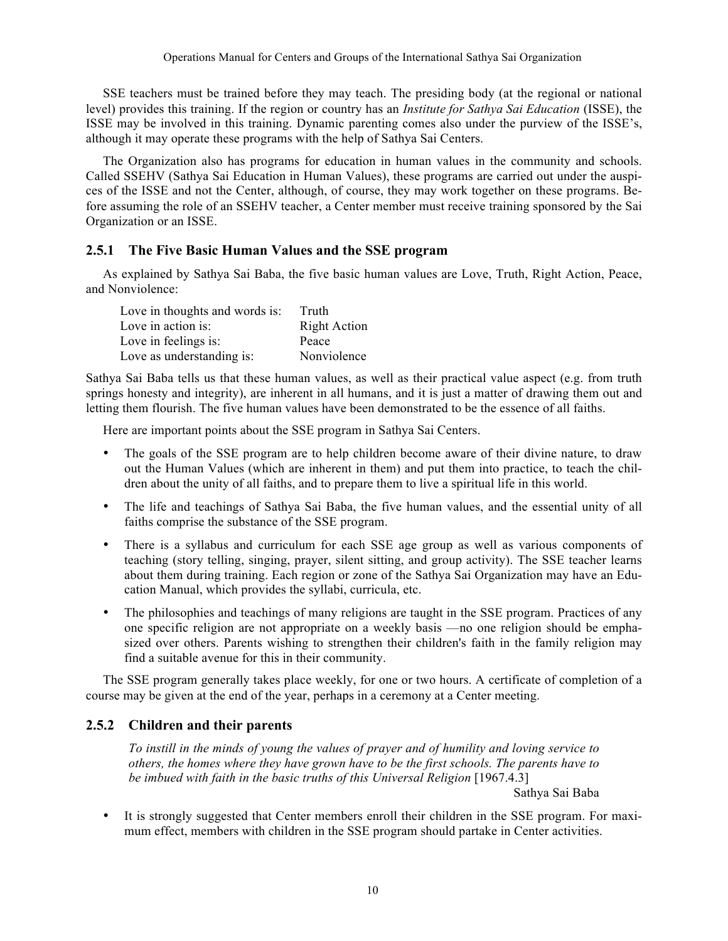SSE teachers must be trained before they may teach. The presiding body (at the regional or national level) provides this training. If the region or country has an *Institute for Sathya Sai Education* (ISSE), the ISSE may be involved in this training. Dynamic parenting comes also under the purview of the ISSE's, although it may operate these programs with the help of Sathya Sai Centers.

The Organization also has programs for education in human values in the community and schools. Called SSEHV (Sathya Sai Education in Human Values), these programs are carried out under the auspices of the ISSE and not the Center, although, of course, they may work together on these programs. Before assuming the role of an SSEHV teacher, a Center member must receive training sponsored by the Sai Organization or an ISSE.

### **2.5.1 The Five Basic Human Values and the SSE program**

As explained by Sathya Sai Baba, the five basic human values are Love, Truth, Right Action, Peace, and Nonviolence:

| Love in thoughts and words is: | Truth               |
|--------------------------------|---------------------|
| Love in action is:             | <b>Right Action</b> |
| Love in feelings is:           | Peace               |
| Love as understanding is:      | Nonviolence         |

Sathya Sai Baba tells us that these human values, as well as their practical value aspect (e.g. from truth springs honesty and integrity), are inherent in all humans, and it is just a matter of drawing them out and letting them flourish. The five human values have been demonstrated to be the essence of all faiths.

Here are important points about the SSE program in Sathya Sai Centers.

- The goals of the SSE program are to help children become aware of their divine nature, to draw out the Human Values (which are inherent in them) and put them into practice, to teach the children about the unity of all faiths, and to prepare them to live a spiritual life in this world.
- The life and teachings of Sathya Sai Baba, the five human values, and the essential unity of all faiths comprise the substance of the SSE program.
- There is a syllabus and curriculum for each SSE age group as well as various components of teaching (story telling, singing, prayer, silent sitting, and group activity). The SSE teacher learns about them during training. Each region or zone of the Sathya Sai Organization may have an Education Manual, which provides the syllabi, curricula, etc.
- The philosophies and teachings of many religions are taught in the SSE program. Practices of any one specific religion are not appropriate on a weekly basis —no one religion should be emphasized over others. Parents wishing to strengthen their children's faith in the family religion may find a suitable avenue for this in their community.

The SSE program generally takes place weekly, for one or two hours. A certificate of completion of a course may be given at the end of the year, perhaps in a ceremony at a Center meeting.

### **2.5.2 Children and their parents**

*To instill in the minds of young the values of prayer and of humility and loving service to others, the homes where they have grown have to be the first schools. The parents have to*  be imbued with faith in the basic truths of this Universal Religion [1967.4.3]

Sathya Sai Baba

• It is strongly suggested that Center members enroll their children in the SSE program. For maximum effect, members with children in the SSE program should partake in Center activities.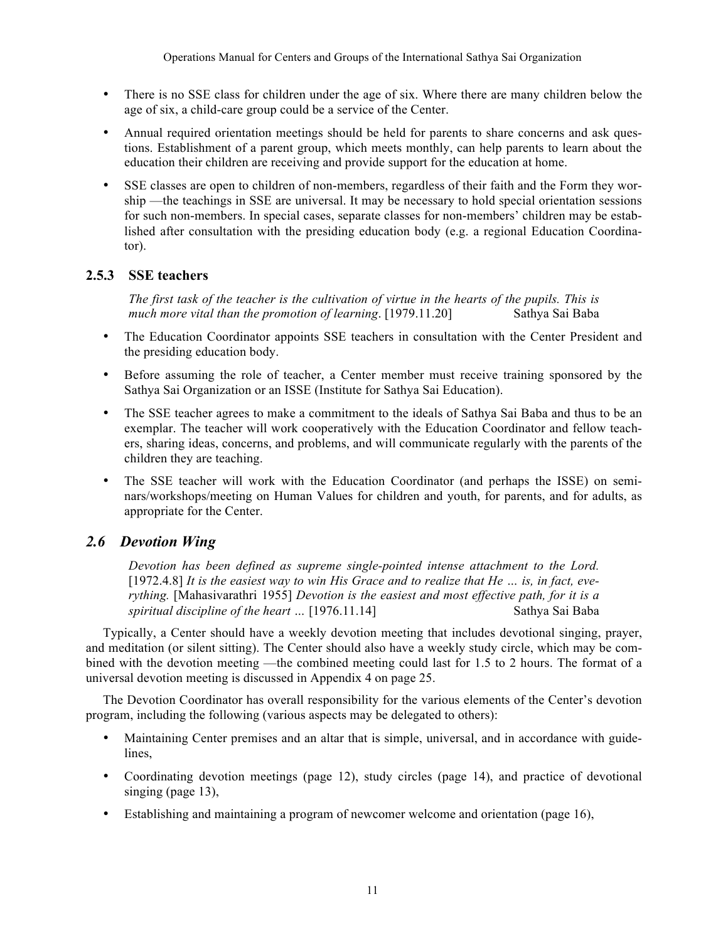- There is no SSE class for children under the age of six. Where there are many children below the age of six, a child-care group could be a service of the Center.
- Annual required orientation meetings should be held for parents to share concerns and ask questions. Establishment of a parent group, which meets monthly, can help parents to learn about the education their children are receiving and provide support for the education at home.
- SSE classes are open to children of non-members, regardless of their faith and the Form they worship —the teachings in SSE are universal. It may be necessary to hold special orientation sessions for such non-members. In special cases, separate classes for non-members' children may be established after consultation with the presiding education body (e.g. a regional Education Coordinator).

### **2.5.3 SSE teachers**

*The first task of the teacher is the cultivation of virtue in the hearts of the pupils. This is much more vital than the promotion of learning*. [1979.11.20] Sathya Sai Baba

- The Education Coordinator appoints SSE teachers in consultation with the Center President and the presiding education body.
- Before assuming the role of teacher, a Center member must receive training sponsored by the Sathya Sai Organization or an ISSE (Institute for Sathya Sai Education).
- The SSE teacher agrees to make a commitment to the ideals of Sathya Sai Baba and thus to be an exemplar. The teacher will work cooperatively with the Education Coordinator and fellow teachers, sharing ideas, concerns, and problems, and will communicate regularly with the parents of the children they are teaching.
- The SSE teacher will work with the Education Coordinator (and perhaps the ISSE) on seminars/workshops/meeting on Human Values for children and youth, for parents, and for adults, as appropriate for the Center.

# *2.6 Devotion Wing*

*Devotion has been defined as supreme single-pointed intense attachment to the Lord.*  [1972.4.8] It is the easiest way to win His Grace and to realize that He ... is, in fact, eve*rything.* [Mahasivarathri 1955] *Devotion is the easiest and most effective path, for it is a spiritual discipline of the heart ...* [1976.11.14] Sathya Sai Baba

Typically, a Center should have a weekly devotion meeting that includes devotional singing, prayer, and meditation (or silent sitting). The Center should also have a weekly study circle, which may be combined with the devotion meeting —the combined meeting could last for 1.5 to 2 hours. The format of a universal devotion meeting is discussed in Appendix 4 on page 25.

The Devotion Coordinator has overall responsibility for the various elements of the Center's devotion program, including the following (various aspects may be delegated to others):

- Maintaining Center premises and an altar that is simple, universal, and in accordance with guidelines,
- Coordinating devotion meetings (page 12), study circles (page 14), and practice of devotional singing (page 13),
- Establishing and maintaining a program of newcomer welcome and orientation (page 16),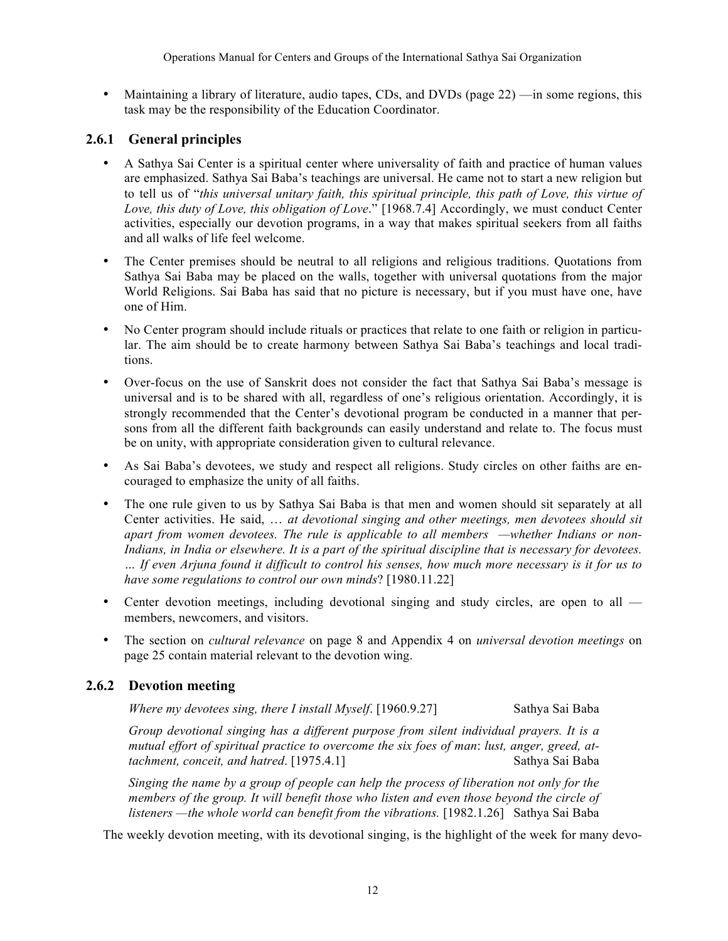• Maintaining a library of literature, audio tapes, CDs, and DVDs (page 22) —in some regions, this task may be the responsibility of the Education Coordinator.

### **2.6.1 General principles**

- A Sathya Sai Center is a spiritual center where universality of faith and practice of human values are emphasized. Sathya Sai Baba's teachings are universal. He came not to start a new religion but to tell us of "*this universal unitary faith, this spiritual principle, this path of Love, this virtue of Love, this duty of Love, this obligation of Love*." [1968.7.4] Accordingly, we must conduct Center activities, especially our devotion programs, in a way that makes spiritual seekers from all faiths and all walks of life feel welcome.
- The Center premises should be neutral to all religions and religious traditions. Quotations from Sathya Sai Baba may be placed on the walls, together with universal quotations from the major World Religions. Sai Baba has said that no picture is necessary, but if you must have one, have one of Him.
- No Center program should include rituals or practices that relate to one faith or religion in particular. The aim should be to create harmony between Sathya Sai Baba's teachings and local traditions.
- Over-focus on the use of Sanskrit does not consider the fact that Sathya Sai Baba's message is universal and is to be shared with all, regardless of one's religious orientation. Accordingly, it is strongly recommended that the Center's devotional program be conducted in a manner that persons from all the different faith backgrounds can easily understand and relate to. The focus must be on unity, with appropriate consideration given to cultural relevance.
- As Sai Baba's devotees, we study and respect all religions. Study circles on other faiths are encouraged to emphasize the unity of all faiths.
- The one rule given to us by Sathya Sai Baba is that men and women should sit separately at all Center activities. He said, … *at devotional singing and other meetings, men devotees should sit apart from women devotees. The rule is applicable to all members —whether Indians or non-Indians, in India or elsewhere. It is a part of the spiritual discipline that is necessary for devotees. … If even Arjuna found it difficult to control his senses, how much more necessary is it for us to have some regulations to control our own minds*? [1980.11.22]
- Center devotion meetings, including devotional singing and study circles, are open to all members, newcomers, and visitors.
- The section on *cultural relevance* on page 8 and Appendix 4 on *universal devotion meetings* on page 25 contain material relevant to the devotion wing.

### **2.6.2 Devotion meeting**

*Where my devotees sing, there I install Myself.* [1960.9.27] Sathya Sai Baba

*Group devotional singing has a different purpose from silent individual prayers. It is a mutual effort of spiritual practice to overcome the six foes of man*: *lust, anger, greed, attachment, conceit, and hatred*. [1975.4.1] Sathya Sai Baba

*Singing the name by a group of people can help the process of liberation not only for the members of the group. It will benefit those who listen and even those beyond the circle of listeners —the whole world can benefit from the vibrations.* [1982.1.26] Sathya Sai Baba

The weekly devotion meeting, with its devotional singing, is the highlight of the week for many devo-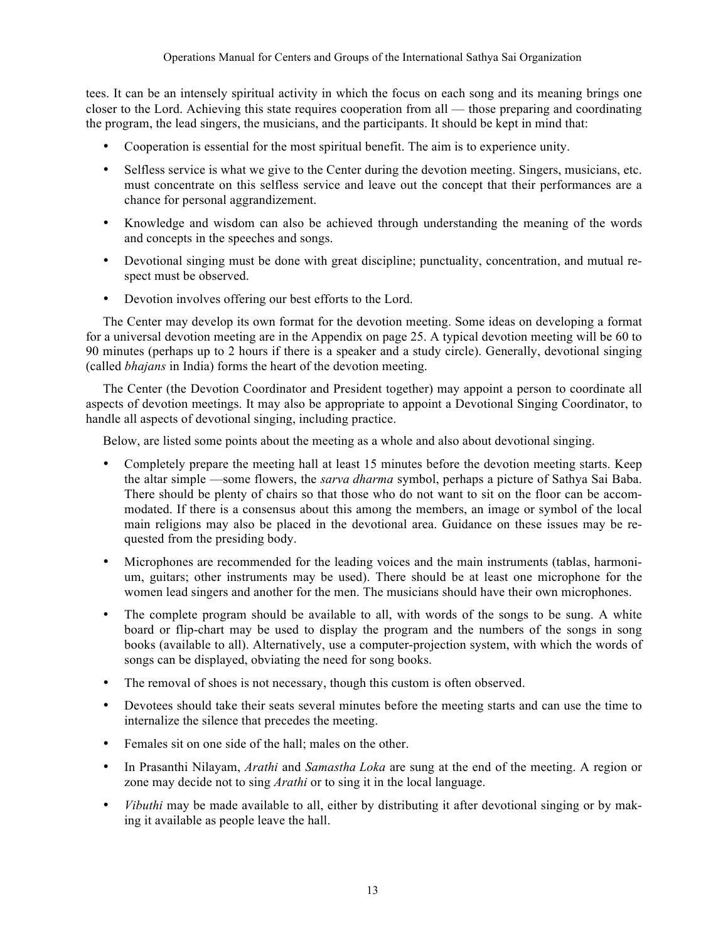tees. It can be an intensely spiritual activity in which the focus on each song and its meaning brings one closer to the Lord. Achieving this state requires cooperation from all — those preparing and coordinating the program, the lead singers, the musicians, and the participants. It should be kept in mind that:

- Cooperation is essential for the most spiritual benefit. The aim is to experience unity.
- Selfless service is what we give to the Center during the devotion meeting. Singers, musicians, etc. must concentrate on this selfless service and leave out the concept that their performances are a chance for personal aggrandizement.
- Knowledge and wisdom can also be achieved through understanding the meaning of the words and concepts in the speeches and songs.
- Devotional singing must be done with great discipline; punctuality, concentration, and mutual respect must be observed.
- Devotion involves offering our best efforts to the Lord.

The Center may develop its own format for the devotion meeting. Some ideas on developing a format for a universal devotion meeting are in the Appendix on page 25. A typical devotion meeting will be 60 to 90 minutes (perhaps up to 2 hours if there is a speaker and a study circle). Generally, devotional singing (called *bhajans* in India) forms the heart of the devotion meeting.

The Center (the Devotion Coordinator and President together) may appoint a person to coordinate all aspects of devotion meetings. It may also be appropriate to appoint a Devotional Singing Coordinator, to handle all aspects of devotional singing, including practice.

Below, are listed some points about the meeting as a whole and also about devotional singing.

- Completely prepare the meeting hall at least 15 minutes before the devotion meeting starts. Keep the altar simple —some flowers, the *sarva dharma* symbol, perhaps a picture of Sathya Sai Baba. There should be plenty of chairs so that those who do not want to sit on the floor can be accommodated. If there is a consensus about this among the members, an image or symbol of the local main religions may also be placed in the devotional area. Guidance on these issues may be requested from the presiding body.
- Microphones are recommended for the leading voices and the main instruments (tablas, harmonium, guitars; other instruments may be used). There should be at least one microphone for the women lead singers and another for the men. The musicians should have their own microphones.
- The complete program should be available to all, with words of the songs to be sung. A white board or flip-chart may be used to display the program and the numbers of the songs in song books (available to all). Alternatively, use a computer-projection system, with which the words of songs can be displayed, obviating the need for song books.
- The removal of shoes is not necessary, though this custom is often observed.
- Devotees should take their seats several minutes before the meeting starts and can use the time to internalize the silence that precedes the meeting.
- Females sit on one side of the hall; males on the other.
- In Prasanthi Nilayam, *Arathi* and *Samastha Loka* are sung at the end of the meeting. A region or zone may decide not to sing *Arathi* or to sing it in the local language.
- *Vibuthi* may be made available to all, either by distributing it after devotional singing or by making it available as people leave the hall.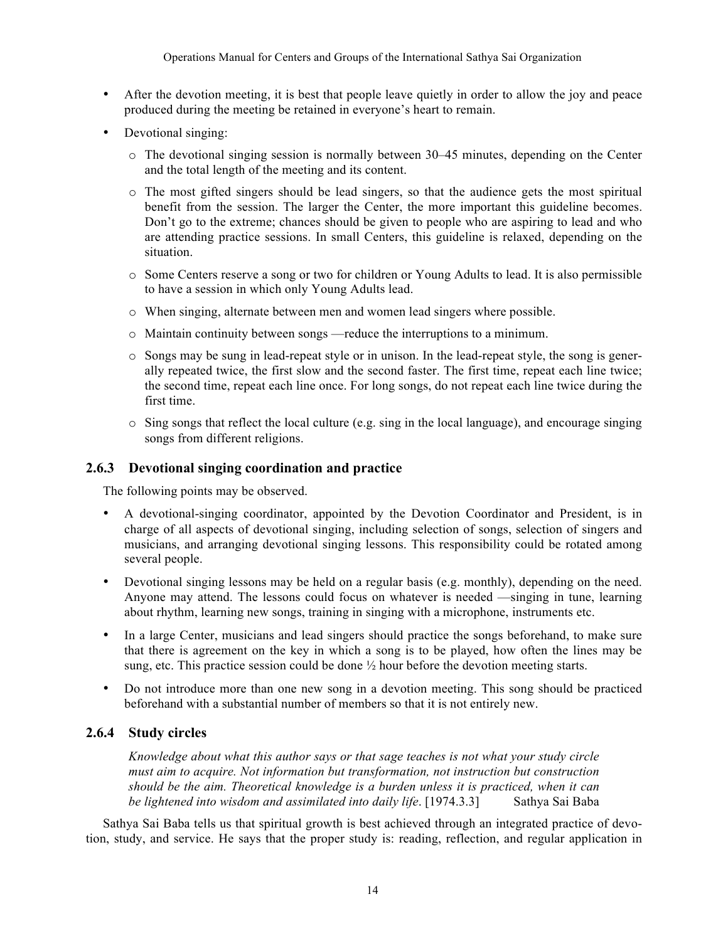- After the devotion meeting, it is best that people leave quietly in order to allow the joy and peace produced during the meeting be retained in everyone's heart to remain.
- Devotional singing:
	- o The devotional singing session is normally between 30–45 minutes, depending on the Center and the total length of the meeting and its content.
	- o The most gifted singers should be lead singers, so that the audience gets the most spiritual benefit from the session. The larger the Center, the more important this guideline becomes. Don't go to the extreme; chances should be given to people who are aspiring to lead and who are attending practice sessions. In small Centers, this guideline is relaxed, depending on the situation.
	- o Some Centers reserve a song or two for children or Young Adults to lead. It is also permissible to have a session in which only Young Adults lead.
	- o When singing, alternate between men and women lead singers where possible.
	- o Maintain continuity between songs —reduce the interruptions to a minimum.
	- o Songs may be sung in lead-repeat style or in unison. In the lead-repeat style, the song is generally repeated twice, the first slow and the second faster. The first time, repeat each line twice; the second time, repeat each line once. For long songs, do not repeat each line twice during the first time.
	- $\circ$  Sing songs that reflect the local culture (e.g. sing in the local language), and encourage singing songs from different religions.

#### **2.6.3 Devotional singing coordination and practice**

The following points may be observed.

- A devotional-singing coordinator, appointed by the Devotion Coordinator and President, is in charge of all aspects of devotional singing, including selection of songs, selection of singers and musicians, and arranging devotional singing lessons. This responsibility could be rotated among several people.
- Devotional singing lessons may be held on a regular basis (e.g. monthly), depending on the need. Anyone may attend. The lessons could focus on whatever is needed —singing in tune, learning about rhythm, learning new songs, training in singing with a microphone, instruments etc.
- In a large Center, musicians and lead singers should practice the songs beforehand, to make sure that there is agreement on the key in which a song is to be played, how often the lines may be sung, etc. This practice session could be done  $\frac{1}{2}$  hour before the devotion meeting starts.
- Do not introduce more than one new song in a devotion meeting. This song should be practiced beforehand with a substantial number of members so that it is not entirely new.

### **2.6.4 Study circles**

*Knowledge about what this author says or that sage teaches is not what your study circle must aim to acquire. Not information but transformation, not instruction but construction should be the aim. Theoretical knowledge is a burden unless it is practiced, when it can be lightened into wisdom and assimilated into daily life*. [1974.3.3] Sathya Sai Baba

Sathya Sai Baba tells us that spiritual growth is best achieved through an integrated practice of devotion, study, and service. He says that the proper study is: reading, reflection, and regular application in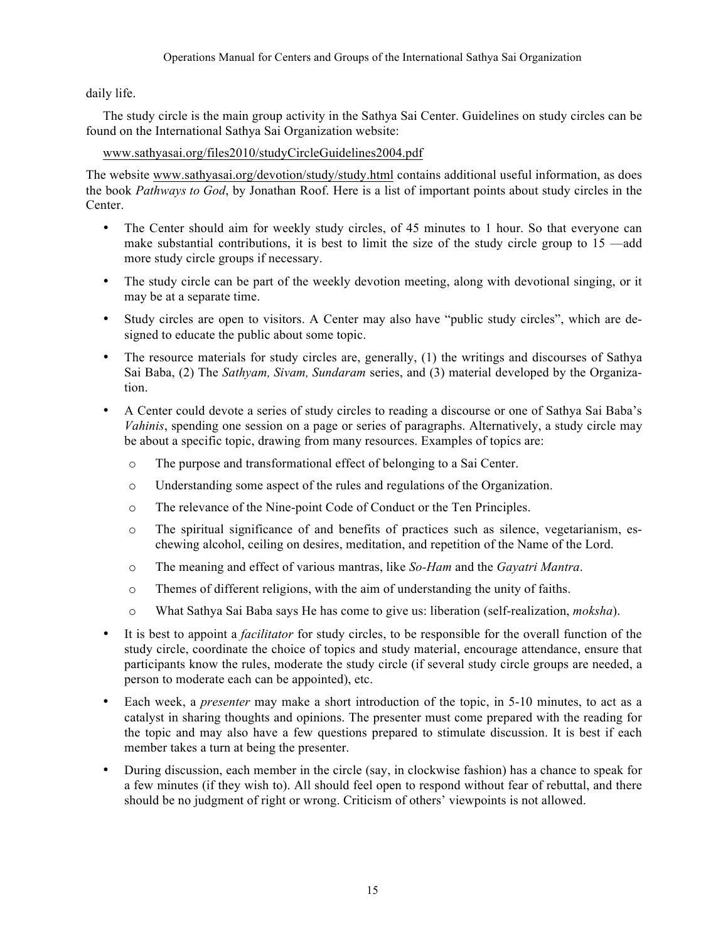daily life.

The study circle is the main group activity in the Sathya Sai Center. Guidelines on study circles can be found on the International Sathya Sai Organization website:

#### www.sathyasai.org/files2010/studyCircleGuidelines2004.pdf

The website www.sathyasai.org/devotion/study/study.html contains additional useful information, as does the book *Pathways to God*, by Jonathan Roof. Here is a list of important points about study circles in the Center.

- The Center should aim for weekly study circles, of 45 minutes to 1 hour. So that everyone can make substantial contributions, it is best to limit the size of the study circle group to 15 —add more study circle groups if necessary.
- The study circle can be part of the weekly devotion meeting, along with devotional singing, or it may be at a separate time.
- Study circles are open to visitors. A Center may also have "public study circles", which are designed to educate the public about some topic.
- The resource materials for study circles are, generally, (1) the writings and discourses of Sathya Sai Baba, (2) The *Sathyam, Sivam, Sundaram* series, and (3) material developed by the Organization.
- A Center could devote a series of study circles to reading a discourse or one of Sathya Sai Baba's *Vahinis*, spending one session on a page or series of paragraphs. Alternatively, a study circle may be about a specific topic, drawing from many resources. Examples of topics are:
	- o The purpose and transformational effect of belonging to a Sai Center.
	- o Understanding some aspect of the rules and regulations of the Organization.
	- o The relevance of the Nine-point Code of Conduct or the Ten Principles.
	- o The spiritual significance of and benefits of practices such as silence, vegetarianism, eschewing alcohol, ceiling on desires, meditation, and repetition of the Name of the Lord.
	- o The meaning and effect of various mantras, like *So-Ham* and the *Gayatri Mantra*.
	- o Themes of different religions, with the aim of understanding the unity of faiths.
	- o What Sathya Sai Baba says He has come to give us: liberation (self-realization, *moksha*).
- It is best to appoint a *facilitator* for study circles, to be responsible for the overall function of the study circle, coordinate the choice of topics and study material, encourage attendance, ensure that participants know the rules, moderate the study circle (if several study circle groups are needed, a person to moderate each can be appointed), etc.
- Each week, a *presenter* may make a short introduction of the topic, in 5-10 minutes, to act as a catalyst in sharing thoughts and opinions. The presenter must come prepared with the reading for the topic and may also have a few questions prepared to stimulate discussion. It is best if each member takes a turn at being the presenter.
- During discussion, each member in the circle (say, in clockwise fashion) has a chance to speak for a few minutes (if they wish to). All should feel open to respond without fear of rebuttal, and there should be no judgment of right or wrong. Criticism of others' viewpoints is not allowed.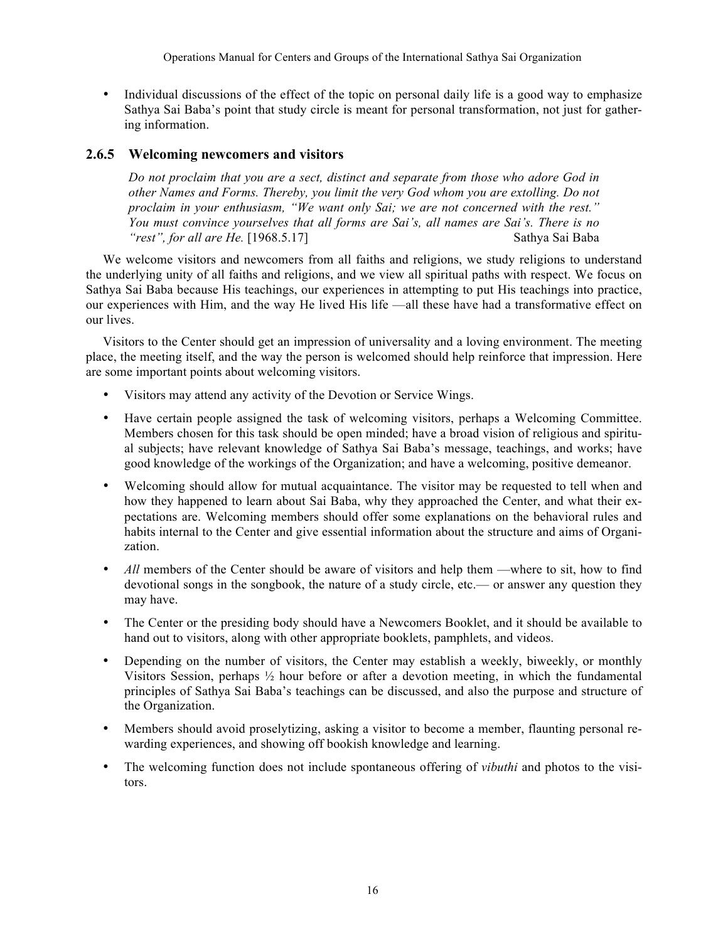• Individual discussions of the effect of the topic on personal daily life is a good way to emphasize Sathya Sai Baba's point that study circle is meant for personal transformation, not just for gathering information.

### **2.6.5 Welcoming newcomers and visitors**

*Do not proclaim that you are a sect, distinct and separate from those who adore God in other Names and Forms. Thereby, you limit the very God whom you are extolling. Do not proclaim in your enthusiasm, "We want only Sai; we are not concerned with the rest." You must convince yourselves that all forms are Sai's, all names are Sai's. There is no rest", for all are He.* [1968.5.17] Sathya Sai Baba<sup>*rest", for all are He.* [1968.5.17]</sup>

We welcome visitors and newcomers from all faiths and religions, we study religions to understand the underlying unity of all faiths and religions, and we view all spiritual paths with respect. We focus on Sathya Sai Baba because His teachings, our experiences in attempting to put His teachings into practice, our experiences with Him, and the way He lived His life —all these have had a transformative effect on our lives.

Visitors to the Center should get an impression of universality and a loving environment. The meeting place, the meeting itself, and the way the person is welcomed should help reinforce that impression. Here are some important points about welcoming visitors.

- Visitors may attend any activity of the Devotion or Service Wings.
- Have certain people assigned the task of welcoming visitors, perhaps a Welcoming Committee. Members chosen for this task should be open minded; have a broad vision of religious and spiritual subjects; have relevant knowledge of Sathya Sai Baba's message, teachings, and works; have good knowledge of the workings of the Organization; and have a welcoming, positive demeanor.
- Welcoming should allow for mutual acquaintance. The visitor may be requested to tell when and how they happened to learn about Sai Baba, why they approached the Center, and what their expectations are. Welcoming members should offer some explanations on the behavioral rules and habits internal to the Center and give essential information about the structure and aims of Organization.
- All members of the Center should be aware of visitors and help them —where to sit, how to find devotional songs in the songbook, the nature of a study circle, etc.— or answer any question they may have.
- The Center or the presiding body should have a Newcomers Booklet, and it should be available to hand out to visitors, along with other appropriate booklets, pamphlets, and videos.
- Depending on the number of visitors, the Center may establish a weekly, biweekly, or monthly Visitors Session, perhaps  $\frac{1}{2}$  hour before or after a devotion meeting, in which the fundamental principles of Sathya Sai Baba's teachings can be discussed, and also the purpose and structure of the Organization.
- Members should avoid proselytizing, asking a visitor to become a member, flaunting personal rewarding experiences, and showing off bookish knowledge and learning.
- The welcoming function does not include spontaneous offering of *vibuthi* and photos to the visitors.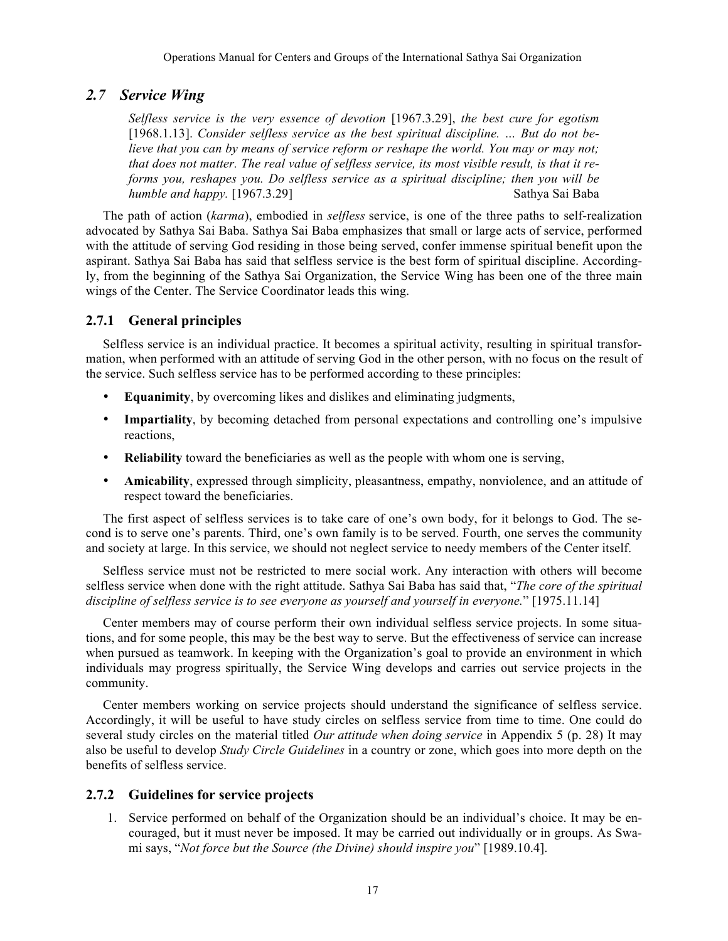# *2.7 Service Wing*

*Selfless service is the very essence of devotion* [1967.3.29], *the best cure for egotism*  [1968.1.13]. *Consider selfless service as the best spiritual discipline. … But do not believe that you can by means of service reform or reshape the world. You may or may not; that does not matter. The real value of selfless service, its most visible result, is that it reforms you, reshapes you. Do selfless service as a spiritual discipline; then you will be humble and happy.* [1967.3.29] Sathya Sai Baba

The path of action (*karma*), embodied in *selfless* service, is one of the three paths to self-realization advocated by Sathya Sai Baba. Sathya Sai Baba emphasizes that small or large acts of service, performed with the attitude of serving God residing in those being served, confer immense spiritual benefit upon the aspirant. Sathya Sai Baba has said that selfless service is the best form of spiritual discipline. Accordingly, from the beginning of the Sathya Sai Organization, the Service Wing has been one of the three main wings of the Center. The Service Coordinator leads this wing.

# **2.7.1 General principles**

Selfless service is an individual practice. It becomes a spiritual activity, resulting in spiritual transformation, when performed with an attitude of serving God in the other person, with no focus on the result of the service. Such selfless service has to be performed according to these principles:

- **Equanimity**, by overcoming likes and dislikes and eliminating judgments,
- **Impartiality**, by becoming detached from personal expectations and controlling one's impulsive reactions,
- **Reliability** toward the beneficiaries as well as the people with whom one is serving,
- **Amicability**, expressed through simplicity, pleasantness, empathy, nonviolence, and an attitude of respect toward the beneficiaries.

The first aspect of selfless services is to take care of one's own body, for it belongs to God. The second is to serve one's parents. Third, one's own family is to be served. Fourth, one serves the community and society at large. In this service, we should not neglect service to needy members of the Center itself.

Selfless service must not be restricted to mere social work. Any interaction with others will become selfless service when done with the right attitude. Sathya Sai Baba has said that, "*The core of the spiritual discipline of selfless service is to see everyone as yourself and yourself in everyone.*" [1975.11.14]

Center members may of course perform their own individual selfless service projects. In some situations, and for some people, this may be the best way to serve. But the effectiveness of service can increase when pursued as teamwork. In keeping with the Organization's goal to provide an environment in which individuals may progress spiritually, the Service Wing develops and carries out service projects in the community.

Center members working on service projects should understand the significance of selfless service. Accordingly, it will be useful to have study circles on selfless service from time to time. One could do several study circles on the material titled *Our attitude when doing service* in Appendix 5 (p. 28) It may also be useful to develop *Study Circle Guidelines* in a country or zone, which goes into more depth on the benefits of selfless service.

### **2.7.2 Guidelines for service projects**

1. Service performed on behalf of the Organization should be an individual's choice. It may be encouraged, but it must never be imposed. It may be carried out individually or in groups. As Swami says, "*Not force but the Source (the Divine) should inspire you*" [1989.10.4].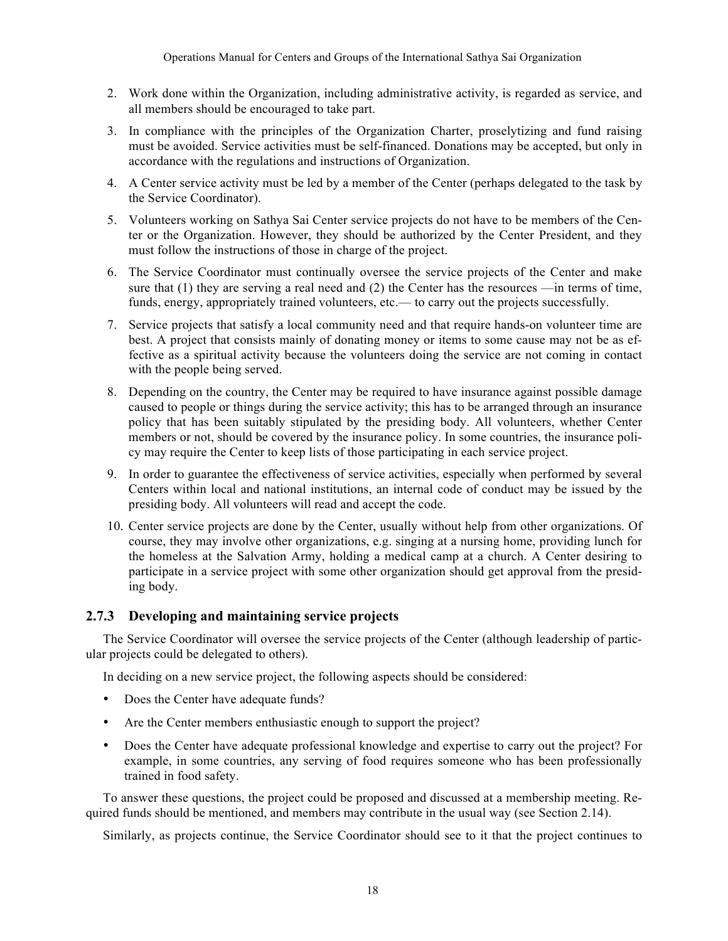- 2. Work done within the Organization, including administrative activity, is regarded as service, and all members should be encouraged to take part.
- 3. In compliance with the principles of the Organization Charter, proselytizing and fund raising must be avoided. Service activities must be self-financed. Donations may be accepted, but only in accordance with the regulations and instructions of Organization.
- 4. A Center service activity must be led by a member of the Center (perhaps delegated to the task by the Service Coordinator).
- 5. Volunteers working on Sathya Sai Center service projects do not have to be members of the Center or the Organization. However, they should be authorized by the Center President, and they must follow the instructions of those in charge of the project.
- 6. The Service Coordinator must continually oversee the service projects of the Center and make sure that (1) they are serving a real need and (2) the Center has the resources —in terms of time, funds, energy, appropriately trained volunteers, etc.— to carry out the projects successfully.
- 7. Service projects that satisfy a local community need and that require hands-on volunteer time are best. A project that consists mainly of donating money or items to some cause may not be as effective as a spiritual activity because the volunteers doing the service are not coming in contact with the people being served.
- 8. Depending on the country, the Center may be required to have insurance against possible damage caused to people or things during the service activity; this has to be arranged through an insurance policy that has been suitably stipulated by the presiding body. All volunteers, whether Center members or not, should be covered by the insurance policy. In some countries, the insurance policy may require the Center to keep lists of those participating in each service project.
- 9. In order to guarantee the effectiveness of service activities, especially when performed by several Centers within local and national institutions, an internal code of conduct may be issued by the presiding body. All volunteers will read and accept the code.
- 10. Center service projects are done by the Center, usually without help from other organizations. Of course, they may involve other organizations, e.g. singing at a nursing home, providing lunch for the homeless at the Salvation Army, holding a medical camp at a church. A Center desiring to participate in a service project with some other organization should get approval from the presiding body.

### **2.7.3 Developing and maintaining service projects**

The Service Coordinator will oversee the service projects of the Center (although leadership of particular projects could be delegated to others).

In deciding on a new service project, the following aspects should be considered:

- Does the Center have adequate funds?
- Are the Center members enthusiastic enough to support the project?
- Does the Center have adequate professional knowledge and expertise to carry out the project? For example, in some countries, any serving of food requires someone who has been professionally trained in food safety.

To answer these questions, the project could be proposed and discussed at a membership meeting. Required funds should be mentioned, and members may contribute in the usual way (see Section 2.14).

Similarly, as projects continue, the Service Coordinator should see to it that the project continues to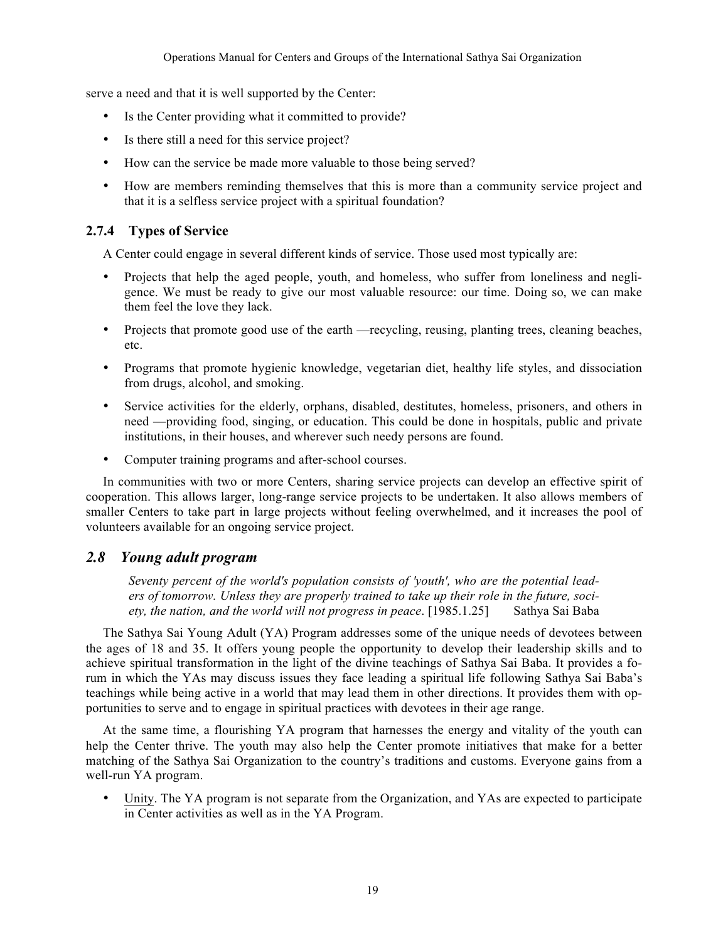serve a need and that it is well supported by the Center:

- Is the Center providing what it committed to provide?
- Is there still a need for this service project?
- How can the service be made more valuable to those being served?
- How are members reminding themselves that this is more than a community service project and that it is a selfless service project with a spiritual foundation?

### **2.7.4 Types of Service**

A Center could engage in several different kinds of service. Those used most typically are:

- Projects that help the aged people, youth, and homeless, who suffer from loneliness and negligence. We must be ready to give our most valuable resource: our time. Doing so, we can make them feel the love they lack.
- Projects that promote good use of the earth —recycling, reusing, planting trees, cleaning beaches, etc.
- Programs that promote hygienic knowledge, vegetarian diet, healthy life styles, and dissociation from drugs, alcohol, and smoking.
- Service activities for the elderly, orphans, disabled, destitutes, homeless, prisoners, and others in need —providing food, singing, or education. This could be done in hospitals, public and private institutions, in their houses, and wherever such needy persons are found.
- Computer training programs and after-school courses.

In communities with two or more Centers, sharing service projects can develop an effective spirit of cooperation. This allows larger, long-range service projects to be undertaken. It also allows members of smaller Centers to take part in large projects without feeling overwhelmed, and it increases the pool of volunteers available for an ongoing service project.

### *2.8 Young adult program*

*Seventy percent of the world's population consists of 'youth', who are the potential leaders of tomorrow. Unless they are properly trained to take up their role in the future, society, the nation, and the world will not progress in peace*. [1985.1.25] Sathya Sai Baba

The Sathya Sai Young Adult (YA) Program addresses some of the unique needs of devotees between the ages of 18 and 35. It offers young people the opportunity to develop their leadership skills and to achieve spiritual transformation in the light of the divine teachings of Sathya Sai Baba. It provides a forum in which the YAs may discuss issues they face leading a spiritual life following Sathya Sai Baba's teachings while being active in a world that may lead them in other directions. It provides them with opportunities to serve and to engage in spiritual practices with devotees in their age range.

At the same time, a flourishing YA program that harnesses the energy and vitality of the youth can help the Center thrive. The youth may also help the Center promote initiatives that make for a better matching of the Sathya Sai Organization to the country's traditions and customs. Everyone gains from a well-run YA program.

• Unity. The YA program is not separate from the Organization, and YAs are expected to participate in Center activities as well as in the YA Program.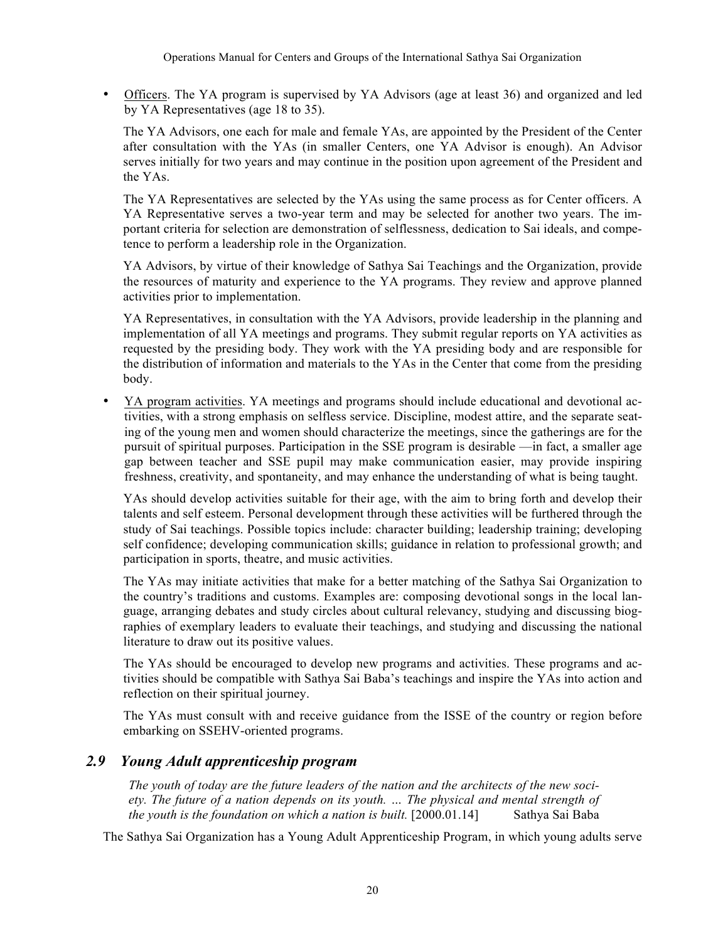• Officers. The YA program is supervised by YA Advisors (age at least 36) and organized and led by YA Representatives (age 18 to 35).

The YA Advisors, one each for male and female YAs, are appointed by the President of the Center after consultation with the YAs (in smaller Centers, one YA Advisor is enough). An Advisor serves initially for two years and may continue in the position upon agreement of the President and the YAs.

The YA Representatives are selected by the YAs using the same process as for Center officers. A YA Representative serves a two-year term and may be selected for another two years. The important criteria for selection are demonstration of selflessness, dedication to Sai ideals, and competence to perform a leadership role in the Organization.

YA Advisors, by virtue of their knowledge of Sathya Sai Teachings and the Organization, provide the resources of maturity and experience to the YA programs. They review and approve planned activities prior to implementation.

YA Representatives, in consultation with the YA Advisors, provide leadership in the planning and implementation of all YA meetings and programs. They submit regular reports on YA activities as requested by the presiding body. They work with the YA presiding body and are responsible for the distribution of information and materials to the YAs in the Center that come from the presiding body.

• YA program activities. YA meetings and programs should include educational and devotional activities, with a strong emphasis on selfless service. Discipline, modest attire, and the separate seating of the young men and women should characterize the meetings, since the gatherings are for the pursuit of spiritual purposes. Participation in the SSE program is desirable —in fact, a smaller age gap between teacher and SSE pupil may make communication easier, may provide inspiring freshness, creativity, and spontaneity, and may enhance the understanding of what is being taught.

YAs should develop activities suitable for their age, with the aim to bring forth and develop their talents and self esteem. Personal development through these activities will be furthered through the study of Sai teachings. Possible topics include: character building; leadership training; developing self confidence; developing communication skills; guidance in relation to professional growth; and participation in sports, theatre, and music activities.

The YAs may initiate activities that make for a better matching of the Sathya Sai Organization to the country's traditions and customs. Examples are: composing devotional songs in the local language, arranging debates and study circles about cultural relevancy, studying and discussing biographies of exemplary leaders to evaluate their teachings, and studying and discussing the national literature to draw out its positive values.

The YAs should be encouraged to develop new programs and activities. These programs and activities should be compatible with Sathya Sai Baba's teachings and inspire the YAs into action and reflection on their spiritual journey.

The YAs must consult with and receive guidance from the ISSE of the country or region before embarking on SSEHV-oriented programs.

# *2.9 Young Adult apprenticeship program*

*The youth of today are the future leaders of the nation and the architects of the new society. The future of a nation depends on its youth. … The physical and mental strength of the youth is the foundation on which a nation is built.* [2000.01.14] Sathya Sai Baba

The Sathya Sai Organization has a Young Adult Apprenticeship Program, in which young adults serve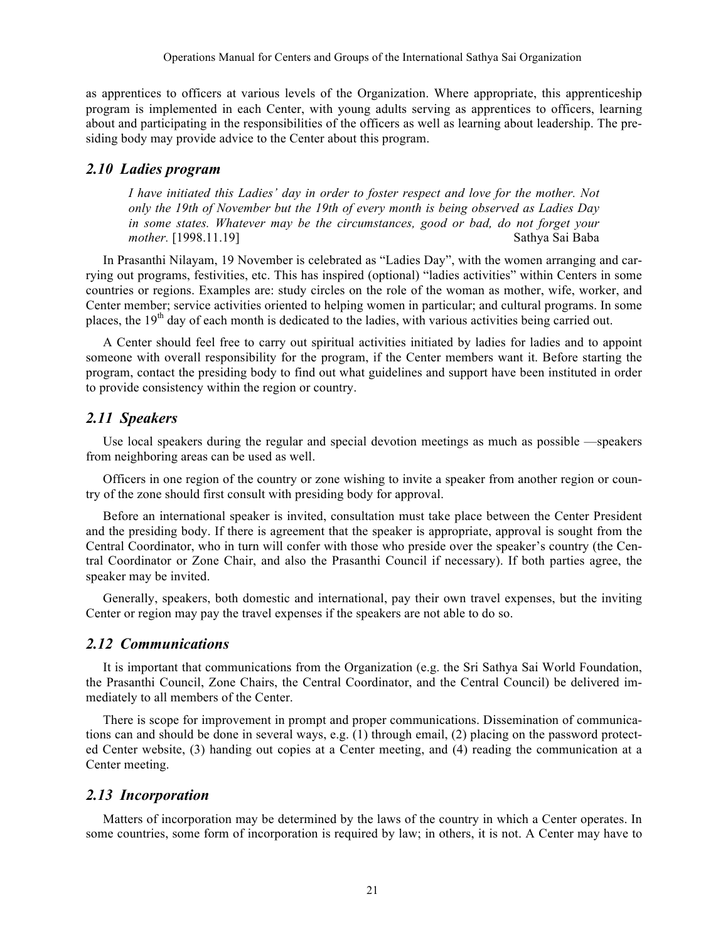as apprentices to officers at various levels of the Organization. Where appropriate, this apprenticeship program is implemented in each Center, with young adults serving as apprentices to officers, learning about and participating in the responsibilities of the officers as well as learning about leadership. The presiding body may provide advice to the Center about this program.

### *2.10 Ladies program*

*I have initiated this Ladies' day in order to foster respect and love for the mother. Not only the 19th of November but the 19th of every month is being observed as Ladies Day in some states. Whatever may be the circumstances, good or bad, do not forget your mother.* [1998.11.19] Sathya Sai Baba

In Prasanthi Nilayam, 19 November is celebrated as "Ladies Day", with the women arranging and carrying out programs, festivities, etc. This has inspired (optional) "ladies activities" within Centers in some countries or regions. Examples are: study circles on the role of the woman as mother, wife, worker, and Center member; service activities oriented to helping women in particular; and cultural programs. In some places, the  $19<sup>th</sup>$  day of each month is dedicated to the ladies, with various activities being carried out.

A Center should feel free to carry out spiritual activities initiated by ladies for ladies and to appoint someone with overall responsibility for the program, if the Center members want it. Before starting the program, contact the presiding body to find out what guidelines and support have been instituted in order to provide consistency within the region or country.

### *2.11 Speakers*

Use local speakers during the regular and special devotion meetings as much as possible —speakers from neighboring areas can be used as well.

Officers in one region of the country or zone wishing to invite a speaker from another region or country of the zone should first consult with presiding body for approval.

Before an international speaker is invited, consultation must take place between the Center President and the presiding body. If there is agreement that the speaker is appropriate, approval is sought from the Central Coordinator, who in turn will confer with those who preside over the speaker's country (the Central Coordinator or Zone Chair, and also the Prasanthi Council if necessary). If both parties agree, the speaker may be invited.

Generally, speakers, both domestic and international, pay their own travel expenses, but the inviting Center or region may pay the travel expenses if the speakers are not able to do so.

#### *2.12 Communications*

It is important that communications from the Organization (e.g. the Sri Sathya Sai World Foundation, the Prasanthi Council, Zone Chairs, the Central Coordinator, and the Central Council) be delivered immediately to all members of the Center.

There is scope for improvement in prompt and proper communications. Dissemination of communications can and should be done in several ways, e.g. (1) through email, (2) placing on the password protected Center website, (3) handing out copies at a Center meeting, and (4) reading the communication at a Center meeting.

#### *2.13 Incorporation*

Matters of incorporation may be determined by the laws of the country in which a Center operates. In some countries, some form of incorporation is required by law; in others, it is not. A Center may have to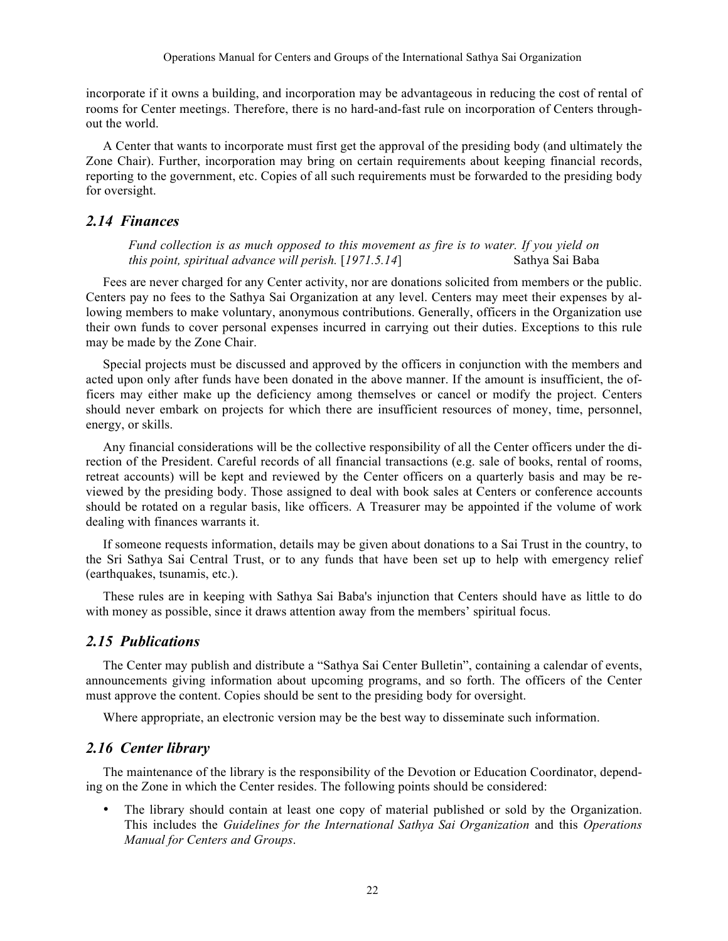incorporate if it owns a building, and incorporation may be advantageous in reducing the cost of rental of rooms for Center meetings. Therefore, there is no hard-and-fast rule on incorporation of Centers throughout the world.

A Center that wants to incorporate must first get the approval of the presiding body (and ultimately the Zone Chair). Further, incorporation may bring on certain requirements about keeping financial records, reporting to the government, etc. Copies of all such requirements must be forwarded to the presiding body for oversight.

### *2.14 Finances*

*Fund collection is as much opposed to this movement as fire is to water. If you yield on this point, spiritual advance will perish.* [*1971.5.14*] Sathya Sai Baba

Fees are never charged for any Center activity, nor are donations solicited from members or the public. Centers pay no fees to the Sathya Sai Organization at any level. Centers may meet their expenses by allowing members to make voluntary, anonymous contributions. Generally, officers in the Organization use their own funds to cover personal expenses incurred in carrying out their duties. Exceptions to this rule may be made by the Zone Chair.

Special projects must be discussed and approved by the officers in conjunction with the members and acted upon only after funds have been donated in the above manner. If the amount is insufficient, the officers may either make up the deficiency among themselves or cancel or modify the project. Centers should never embark on projects for which there are insufficient resources of money, time, personnel, energy, or skills.

Any financial considerations will be the collective responsibility of all the Center officers under the direction of the President. Careful records of all financial transactions (e.g. sale of books, rental of rooms, retreat accounts) will be kept and reviewed by the Center officers on a quarterly basis and may be reviewed by the presiding body. Those assigned to deal with book sales at Centers or conference accounts should be rotated on a regular basis, like officers. A Treasurer may be appointed if the volume of work dealing with finances warrants it.

If someone requests information, details may be given about donations to a Sai Trust in the country, to the Sri Sathya Sai Central Trust, or to any funds that have been set up to help with emergency relief (earthquakes, tsunamis, etc.).

These rules are in keeping with Sathya Sai Baba's injunction that Centers should have as little to do with money as possible, since it draws attention away from the members' spiritual focus.

### *2.15 Publications*

The Center may publish and distribute a "Sathya Sai Center Bulletin", containing a calendar of events, announcements giving information about upcoming programs, and so forth. The officers of the Center must approve the content. Copies should be sent to the presiding body for oversight.

Where appropriate, an electronic version may be the best way to disseminate such information.

### *2.16 Center library*

The maintenance of the library is the responsibility of the Devotion or Education Coordinator, depending on the Zone in which the Center resides. The following points should be considered:

The library should contain at least one copy of material published or sold by the Organization. This includes the *Guidelines for the International Sathya Sai Organization* and this *Operations Manual for Centers and Groups*.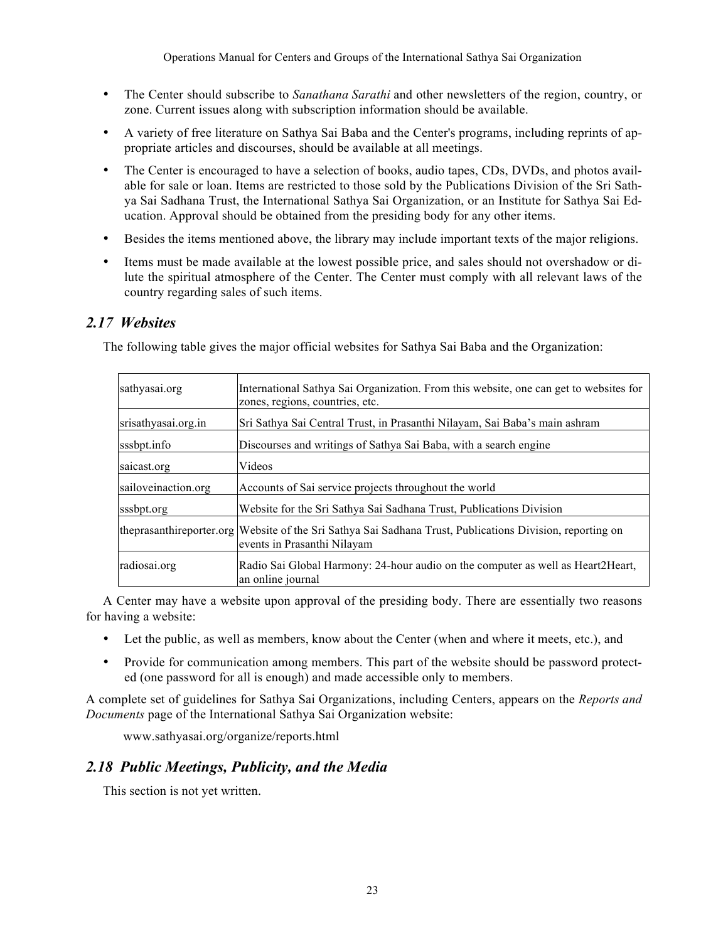- The Center should subscribe to *Sanathana Sarathi* and other newsletters of the region, country, or zone. Current issues along with subscription information should be available.
- A variety of free literature on Sathya Sai Baba and the Center's programs, including reprints of appropriate articles and discourses, should be available at all meetings.
- The Center is encouraged to have a selection of books, audio tapes, CDs, DVDs, and photos available for sale or loan. Items are restricted to those sold by the Publications Division of the Sri Sathya Sai Sadhana Trust, the International Sathya Sai Organization, or an Institute for Sathya Sai Education. Approval should be obtained from the presiding body for any other items.
- Besides the items mentioned above, the library may include important texts of the major religions.
- Items must be made available at the lowest possible price, and sales should not overshadow or dilute the spiritual atmosphere of the Center. The Center must comply with all relevant laws of the country regarding sales of such items.

# *2.17 Websites*

The following table gives the major official websites for Sathya Sai Baba and the Organization:

| sathyasai.org       | International Sathya Sai Organization. From this website, one can get to websites for<br>zones, regions, countries, etc.                   |
|---------------------|--------------------------------------------------------------------------------------------------------------------------------------------|
| srisathyasai.org.in | Sri Sathya Sai Central Trust, in Prasanthi Nilayam, Sai Baba's main ashram                                                                 |
| sssbpt.info         | Discourses and writings of Sathya Sai Baba, with a search engine                                                                           |
| saicast.org         | Videos                                                                                                                                     |
| sailoveinaction.org | Accounts of Sai service projects throughout the world                                                                                      |
| sssbpt.org          | Website for the Sri Sathya Sai Sadhana Trust, Publications Division                                                                        |
|                     | the prasanthire porter org Website of the Sri Sathya Sai Sadhana Trust, Publications Division, reporting on<br>events in Prasanthi Nilayam |
| radiosai.org        | Radio Sai Global Harmony: 24-hour audio on the computer as well as Heart2Heart,<br>an online journal                                       |

A Center may have a website upon approval of the presiding body. There are essentially two reasons for having a website:

- Let the public, as well as members, know about the Center (when and where it meets, etc.), and
- Provide for communication among members. This part of the website should be password protected (one password for all is enough) and made accessible only to members.

A complete set of guidelines for Sathya Sai Organizations, including Centers, appears on the *Reports and Documents* page of the International Sathya Sai Organization website:

www.sathyasai.org/organize/reports.html

# *2.18 Public Meetings, Publicity, and the Media*

This section is not yet written.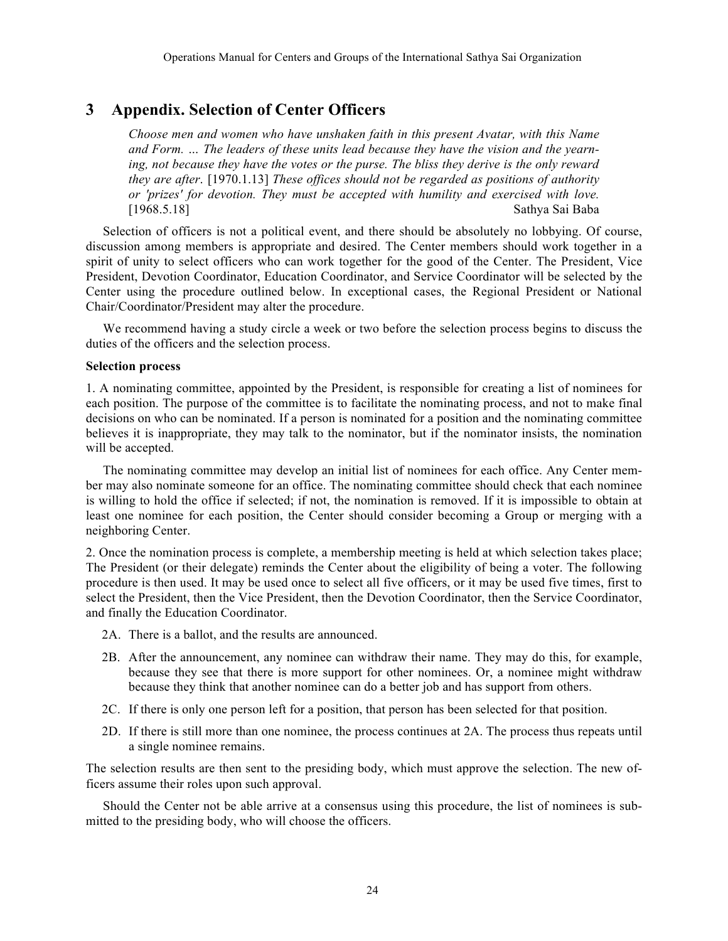# **3 Appendix. Selection of Center Officers**

*Choose men and women who have unshaken faith in this present Avatar, with this Name and Form. … The leaders of these units lead because they have the vision and the yearning, not because they have the votes or the purse. The bliss they derive is the only reward they are after*. [1970.1.13] *These offices should not be regarded as positions of authority or 'prizes' for devotion. They must be accepted with humility and exercised with love.*  [1968.5.18] Sathya Sai Baba

Selection of officers is not a political event, and there should be absolutely no lobbying. Of course, discussion among members is appropriate and desired. The Center members should work together in a spirit of unity to select officers who can work together for the good of the Center. The President, Vice President, Devotion Coordinator, Education Coordinator, and Service Coordinator will be selected by the Center using the procedure outlined below. In exceptional cases, the Regional President or National Chair/Coordinator/President may alter the procedure.

We recommend having a study circle a week or two before the selection process begins to discuss the duties of the officers and the selection process.

#### **Selection process**

1. A nominating committee, appointed by the President, is responsible for creating a list of nominees for each position. The purpose of the committee is to facilitate the nominating process, and not to make final decisions on who can be nominated. If a person is nominated for a position and the nominating committee believes it is inappropriate, they may talk to the nominator, but if the nominator insists, the nomination will be accepted.

The nominating committee may develop an initial list of nominees for each office. Any Center member may also nominate someone for an office. The nominating committee should check that each nominee is willing to hold the office if selected; if not, the nomination is removed. If it is impossible to obtain at least one nominee for each position, the Center should consider becoming a Group or merging with a neighboring Center.

2. Once the nomination process is complete, a membership meeting is held at which selection takes place; The President (or their delegate) reminds the Center about the eligibility of being a voter. The following procedure is then used. It may be used once to select all five officers, or it may be used five times, first to select the President, then the Vice President, then the Devotion Coordinator, then the Service Coordinator, and finally the Education Coordinator.

- 2A. There is a ballot, and the results are announced.
- 2B. After the announcement, any nominee can withdraw their name. They may do this, for example, because they see that there is more support for other nominees. Or, a nominee might withdraw because they think that another nominee can do a better job and has support from others.
- 2C. If there is only one person left for a position, that person has been selected for that position.
- 2D. If there is still more than one nominee, the process continues at 2A. The process thus repeats until a single nominee remains.

The selection results are then sent to the presiding body, which must approve the selection. The new officers assume their roles upon such approval.

Should the Center not be able arrive at a consensus using this procedure, the list of nominees is submitted to the presiding body, who will choose the officers.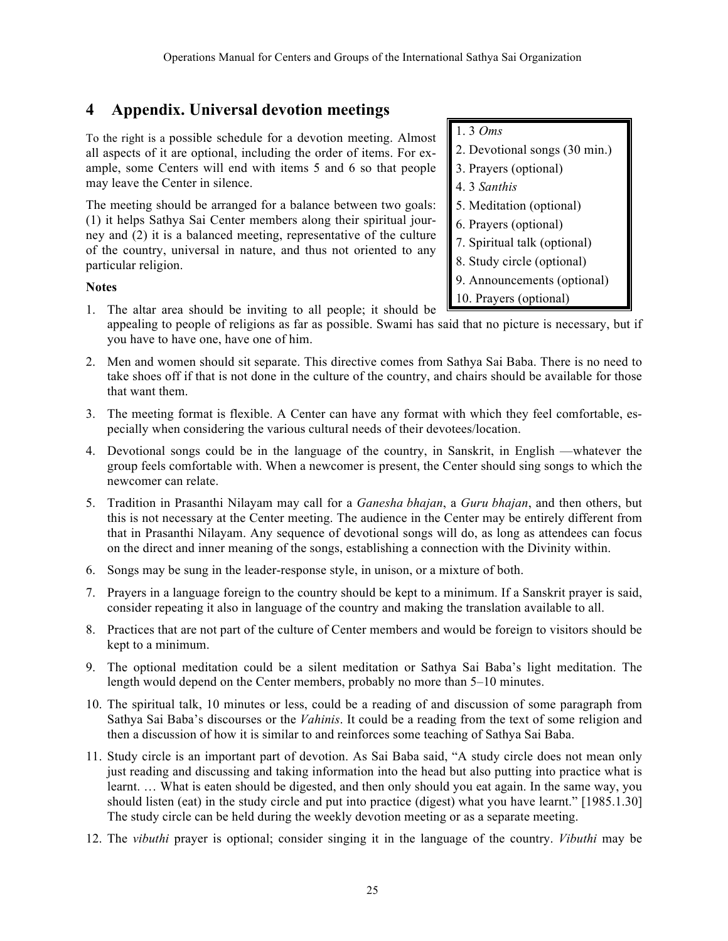# **4 Appendix. Universal devotion meetings**

To the right is a possible schedule for a devotion meeting. Almost all aspects of it are optional, including the order of items. For example, some Centers will end with items 5 and 6 so that people may leave the Center in silence.

The meeting should be arranged for a balance between two goals: (1) it helps Sathya Sai Center members along their spiritual journey and (2) it is a balanced meeting, representative of the culture of the country, universal in nature, and thus not oriented to any particular religion.

### **Notes**

- 1. The altar area should be inviting to all people; it should be
- appealing to people of religions as far as possible. Swami has said that no picture is necessary, but if you have to have one, have one of him.
- 2. Men and women should sit separate. This directive comes from Sathya Sai Baba. There is no need to take shoes off if that is not done in the culture of the country, and chairs should be available for those that want them.
- 3. The meeting format is flexible. A Center can have any format with which they feel comfortable, especially when considering the various cultural needs of their devotees/location.
- 4. Devotional songs could be in the language of the country, in Sanskrit, in English —whatever the group feels comfortable with. When a newcomer is present, the Center should sing songs to which the newcomer can relate.
- 5. Tradition in Prasanthi Nilayam may call for a *Ganesha bhajan*, a *Guru bhajan*, and then others, but this is not necessary at the Center meeting. The audience in the Center may be entirely different from that in Prasanthi Nilayam. Any sequence of devotional songs will do, as long as attendees can focus on the direct and inner meaning of the songs, establishing a connection with the Divinity within.
- 6. Songs may be sung in the leader-response style, in unison, or a mixture of both.
- 7. Prayers in a language foreign to the country should be kept to a minimum. If a Sanskrit prayer is said, consider repeating it also in language of the country and making the translation available to all.
- 8. Practices that are not part of the culture of Center members and would be foreign to visitors should be kept to a minimum.
- 9. The optional meditation could be a silent meditation or Sathya Sai Baba's light meditation. The length would depend on the Center members, probably no more than 5–10 minutes.
- 10. The spiritual talk, 10 minutes or less, could be a reading of and discussion of some paragraph from Sathya Sai Baba's discourses or the *Vahinis*. It could be a reading from the text of some religion and then a discussion of how it is similar to and reinforces some teaching of Sathya Sai Baba.
- 11. Study circle is an important part of devotion. As Sai Baba said, "A study circle does not mean only just reading and discussing and taking information into the head but also putting into practice what is learnt. … What is eaten should be digested, and then only should you eat again. In the same way, you should listen (eat) in the study circle and put into practice (digest) what you have learnt." [1985.1.30] The study circle can be held during the weekly devotion meeting or as a separate meeting.
- 12. The *vibuthi* prayer is optional; consider singing it in the language of the country. *Vibuthi* may be

1. 3 *Oms* 2. Devotional songs (30 min.) 3. Prayers (optional) 4. 3 *Santhis* 5. Meditation (optional) 6. Prayers (optional) 7. Spiritual talk (optional) 8. Study circle (optional) 9. Announcements (optional) 10. Prayers (optional)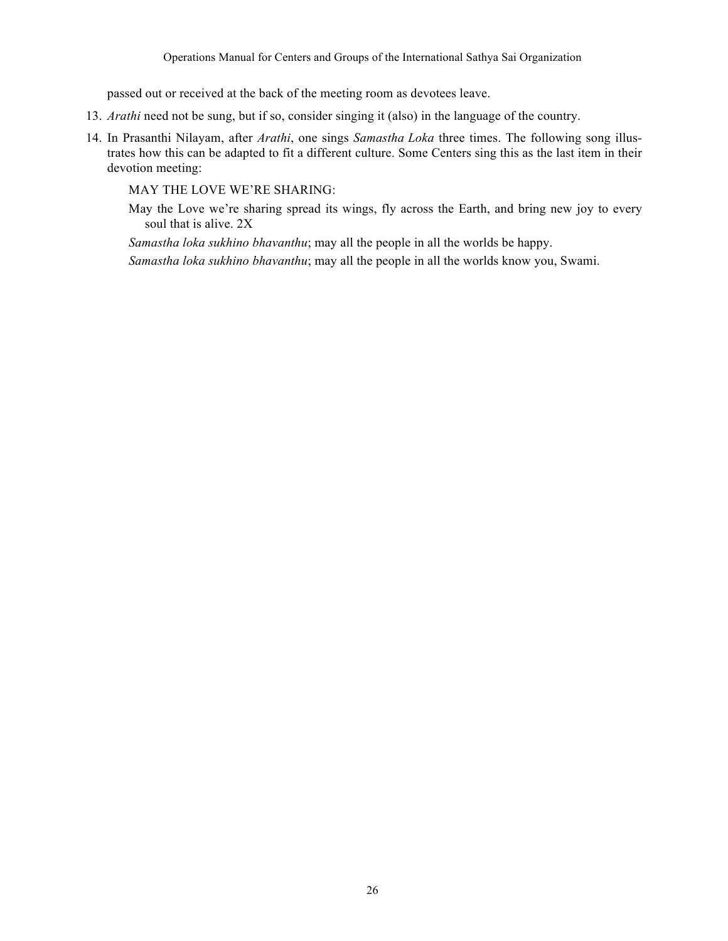passed out or received at the back of the meeting room as devotees leave.

- 13. *Arathi* need not be sung, but if so, consider singing it (also) in the language of the country.
- 14. In Prasanthi Nilayam, after *Arathi*, one sings *Samastha Loka* three times. The following song illustrates how this can be adapted to fit a different culture. Some Centers sing this as the last item in their devotion meeting:

MAY THE LOVE WE'RE SHARING:

May the Love we're sharing spread its wings, fly across the Earth, and bring new joy to every soul that is alive. 2X

*Samastha loka sukhino bhavanthu*; may all the people in all the worlds be happy.

*Samastha loka sukhino bhavanthu*; may all the people in all the worlds know you, Swami.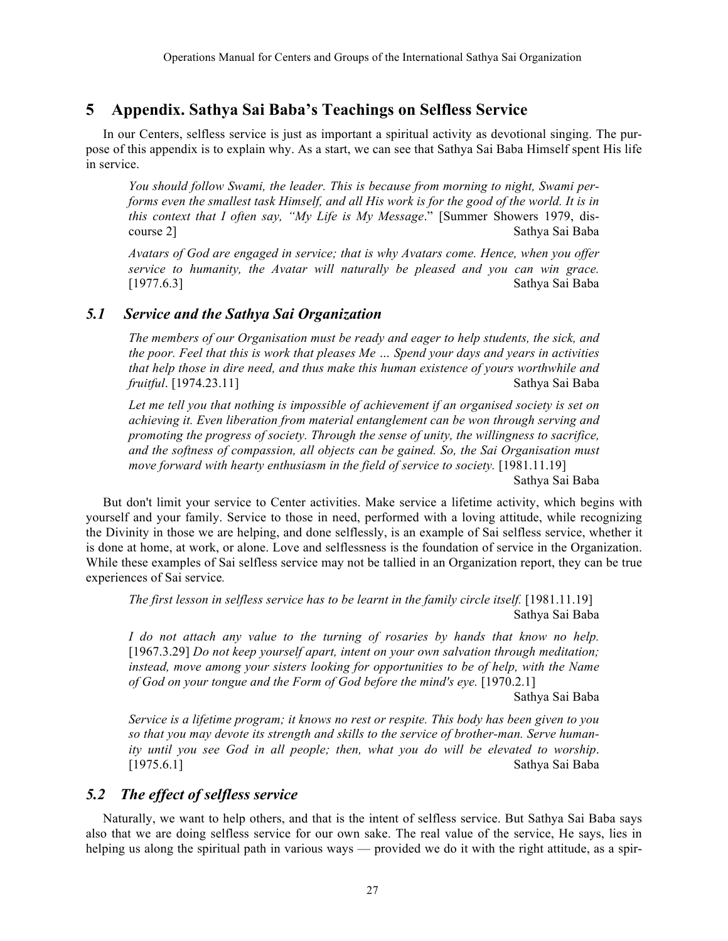# **5 Appendix. Sathya Sai Baba's Teachings on Selfless Service**

In our Centers, selfless service is just as important a spiritual activity as devotional singing. The purpose of this appendix is to explain why. As a start, we can see that Sathya Sai Baba Himself spent His life in service.

*You should follow Swami, the leader. This is because from morning to night, Swami performs even the smallest task Himself, and all His work is for the good of the world. It is in this context that I often say, "My Life is My Message*." [Summer Showers 1979, discourse 2] Sathya Sai Baba

*Avatars of God are engaged in service; that is why Avatars come. Hence, when you offer service to humanity, the Avatar will naturally be pleased and you can win grace.*  [1977.6.3] Sathya Sai Baba

# *5.1 Service and the Sathya Sai Organization*

*The members of our Organisation must be ready and eager to help students, the sick, and the poor. Feel that this is work that pleases Me … Spend your days and years in activities that help those in dire need, and thus make this human existence of yours worthwhile and fruitful*. [1974.23.11] Sathya Sai Baba

*Let me tell you that nothing is impossible of achievement if an organised society is set on achieving it. Even liberation from material entanglement can be won through serving and promoting the progress of society. Through the sense of unity, the willingness to sacrifice, and the softness of compassion, all objects can be gained. So, the Sai Organisation must move forward with hearty enthusiasm in the field of service to society.* [1981.11.19]

Sathya Sai Baba

But don't limit your service to Center activities. Make service a lifetime activity, which begins with yourself and your family. Service to those in need, performed with a loving attitude, while recognizing the Divinity in those we are helping, and done selflessly, is an example of Sai selfless service, whether it is done at home, at work, or alone. Love and selflessness is the foundation of service in the Organization. While these examples of Sai selfless service may not be tallied in an Organization report, they can be true experiences of Sai service*.*

*The first lesson in selfless service has to be learnt in the family circle itself.* [1981.11.19] Sathya Sai Baba

*I do not attach any value to the turning of rosaries by hands that know no help.* [1967.3.29] *Do not keep yourself apart, intent on your own salvation through meditation; instead, move among your sisters looking for opportunities to be of help, with the Name of God on your tongue and the Form of God before the mind's eye.* [1970.2.1]

Sathya Sai Baba

*Service is a lifetime program; it knows no rest or respite. This body has been given to you so that you may devote its strength and skills to the service of brother-man. Serve humanity until you see God in all people; then, what you do will be elevated to worship*. [1975.6.1] Sathya Sai Baba

# *5.2 The effect of selfless service*

Naturally, we want to help others, and that is the intent of selfless service. But Sathya Sai Baba says also that we are doing selfless service for our own sake. The real value of the service, He says, lies in helping us along the spiritual path in various ways — provided we do it with the right attitude, as a spir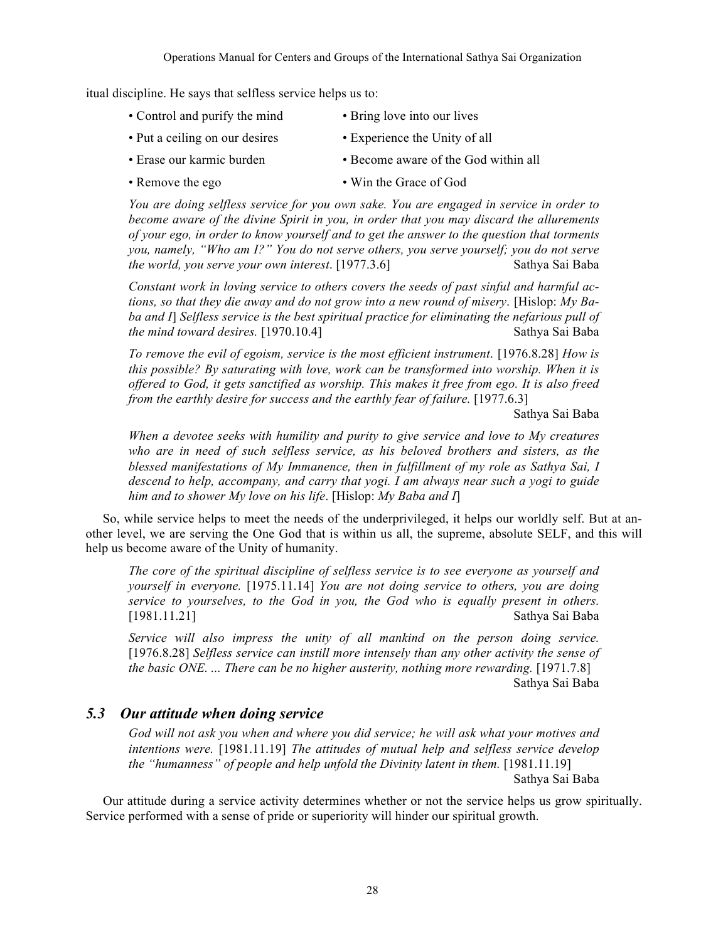itual discipline. He says that selfless service helps us to:

- Control and purify the mind Bring love into our lives
- Put a ceiling on our desires Experience the Unity of all
- Erase our karmic burden Become aware of the God within all
- Remove the ego Win the Grace of God

*You are doing selfless service for you own sake. You are engaged in service in order to become aware of the divine Spirit in you, in order that you may discard the allurements of your ego, in order to know yourself and to get the answer to the question that torments you, namely, "Who am I?" You do not serve others, you serve yourself; you do not serve the world, you serve your own interest.* [1977.3.6] Sathya Sai Baba

*Constant work in loving service to others covers the seeds of past sinful and harmful actions, so that they die away and do not grow into a new round of misery*. [Hislop: *My Baba and I*] *Selfless service is the best spiritual practice for eliminating the nefarious pull of the mind toward desires.* [1970.10.4] Sathya Sai Baba

*To remove the evil of egoism, service is the most efficient instrument*. [1976.8.28] *How is this possible? By saturating with love, work can be transformed into worship. When it is offered to God, it gets sanctified as worship. This makes it free from ego. It is also freed from the earthly desire for success and the earthly fear of failure.* [1977.6.3]

Sathya Sai Baba

*When a devotee seeks with humility and purity to give service and love to My creatures who are in need of such selfless service, as his beloved brothers and sisters, as the blessed manifestations of My Immanence, then in fulfillment of my role as Sathya Sai, I descend to help, accompany, and carry that yogi. I am always near such a yogi to guide him and to shower My love on his life*. [Hislop: *My Baba and I*]

So, while service helps to meet the needs of the underprivileged, it helps our worldly self. But at another level, we are serving the One God that is within us all, the supreme, absolute SELF, and this will help us become aware of the Unity of humanity.

*The core of the spiritual discipline of selfless service is to see everyone as yourself and yourself in everyone.* [1975.11.14] *You are not doing service to others, you are doing service to yourselves, to the God in you, the God who is equally present in others.*  [1981.11.21] Sathya Sai Baba

*Service will also impress the unity of all mankind on the person doing service.*  [1976.8.28] *Selfless service can instill more intensely than any other activity the sense of the basic ONE. ... There can be no higher austerity, nothing more rewarding.* [1971.7.8] Sathya Sai Baba

# *5.3 Our attitude when doing service*

*God will not ask you when and where you did service; he will ask what your motives and intentions were.* [1981.11.19] *The attitudes of mutual help and selfless service develop the "humanness" of people and help unfold the Divinity latent in them.* [1981.11.19] Sathya Sai Baba

Our attitude during a service activity determines whether or not the service helps us grow spiritually. Service performed with a sense of pride or superiority will hinder our spiritual growth.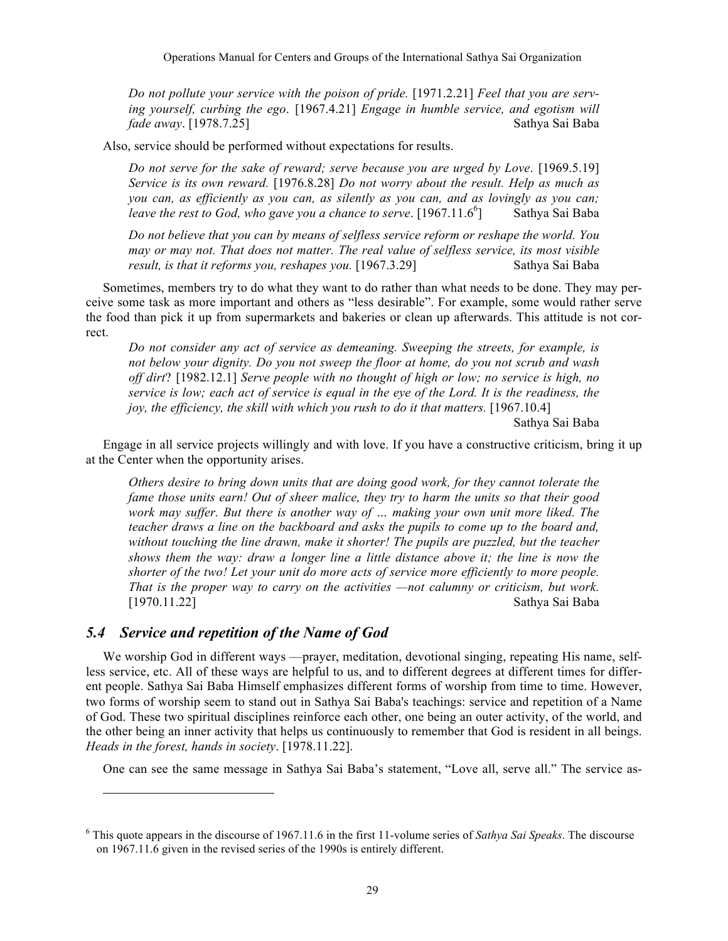*Do not pollute your service with the poison of pride.* [1971.2.21] *Feel that you are serving yourself, curbing the ego*. [1967.4.21] *Engage in humble service, and egotism will fade away*. [1978.7.25] Sathya Sai Baba

Also, service should be performed without expectations for results.

*Do not serve for the sake of reward; serve because you are urged by Love*. [1969.5.19] *Service is its own reward.* [1976.8.28] *Do not worry about the result. Help as much as you can, as efficiently as you can, as silently as you can, and as lovingly as you can; leave the rest to God, who gave you a chance to serve.*  $[1967.11.6^{\circ}]$ ] Sathya Sai Baba

*Do not believe that you can by means of selfless service reform or reshape the world. You may or may not. That does not matter. The real value of selfless service, its most visible result, is that it reforms you, reshapes you.* [1967.3.29] Sathya Sai Baba

Sometimes, members try to do what they want to do rather than what needs to be done. They may perceive some task as more important and others as "less desirable". For example, some would rather serve the food than pick it up from supermarkets and bakeries or clean up afterwards. This attitude is not correct.

*Do not consider any act of service as demeaning. Sweeping the streets, for example, is not below your dignity. Do you not sweep the floor at home, do you not scrub and wash off dirt*? [1982.12.1] *Serve people with no thought of high or low; no service is high, no service is low; each act of service is equal in the eye of the Lord. It is the readiness, the joy, the efficiency, the skill with which you rush to do it that matters.* [1967.10.4]

Sathya Sai Baba

Engage in all service projects willingly and with love. If you have a constructive criticism, bring it up at the Center when the opportunity arises.

*Others desire to bring down units that are doing good work, for they cannot tolerate the fame those units earn! Out of sheer malice, they try to harm the units so that their good work may suffer. But there is another way of … making your own unit more liked. The teacher draws a line on the backboard and asks the pupils to come up to the board and, without touching the line drawn, make it shorter! The pupils are puzzled, but the teacher shows them the way: draw a longer line a little distance above it; the line is now the shorter of the two! Let your unit do more acts of service more efficiently to more people. That is the proper way to carry on the activities —not calumny or criticism, but work.*  [1970.11.22] Sathya Sai Baba

# *5.4 Service and repetition of the Name of God*

l

We worship God in different ways —prayer, meditation, devotional singing, repeating His name, selfless service, etc. All of these ways are helpful to us, and to different degrees at different times for different people. Sathya Sai Baba Himself emphasizes different forms of worship from time to time. However, two forms of worship seem to stand out in Sathya Sai Baba's teachings: service and repetition of a Name of God. These two spiritual disciplines reinforce each other, one being an outer activity, of the world, and the other being an inner activity that helps us continuously to remember that God is resident in all beings. *Heads in the forest, hands in society*. [1978.11.22].

One can see the same message in Sathya Sai Baba's statement, "Love all, serve all." The service as-

<sup>6</sup> This quote appears in the discourse of 1967.11.6 in the first 11-volume series of *Sathya Sai Speaks*. The discourse on 1967.11.6 given in the revised series of the 1990s is entirely different.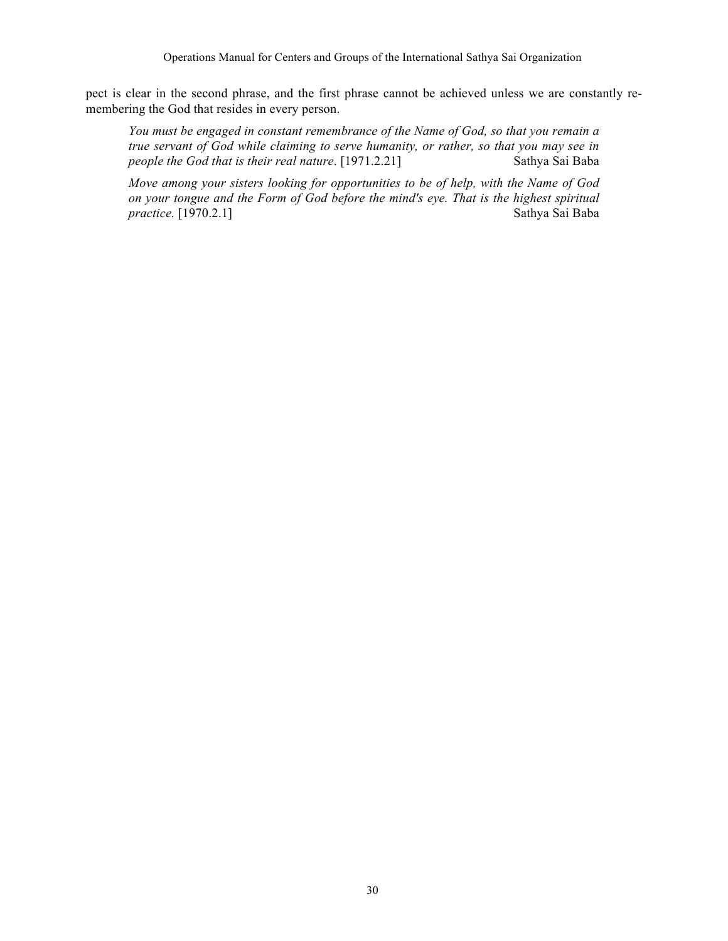pect is clear in the second phrase, and the first phrase cannot be achieved unless we are constantly remembering the God that resides in every person.

*You must be engaged in constant remembrance of the Name of God, so that you remain a true servant of God while claiming to serve humanity, or rather, so that you may see in people the God that is their real nature*. [1971.2.21] Sathya Sai Baba

*Move among your sisters looking for opportunities to be of help, with the Name of God on your tongue and the Form of God before the mind's eye. That is the highest spiritual practice.* [1970.2.1] Sathya Sai Baba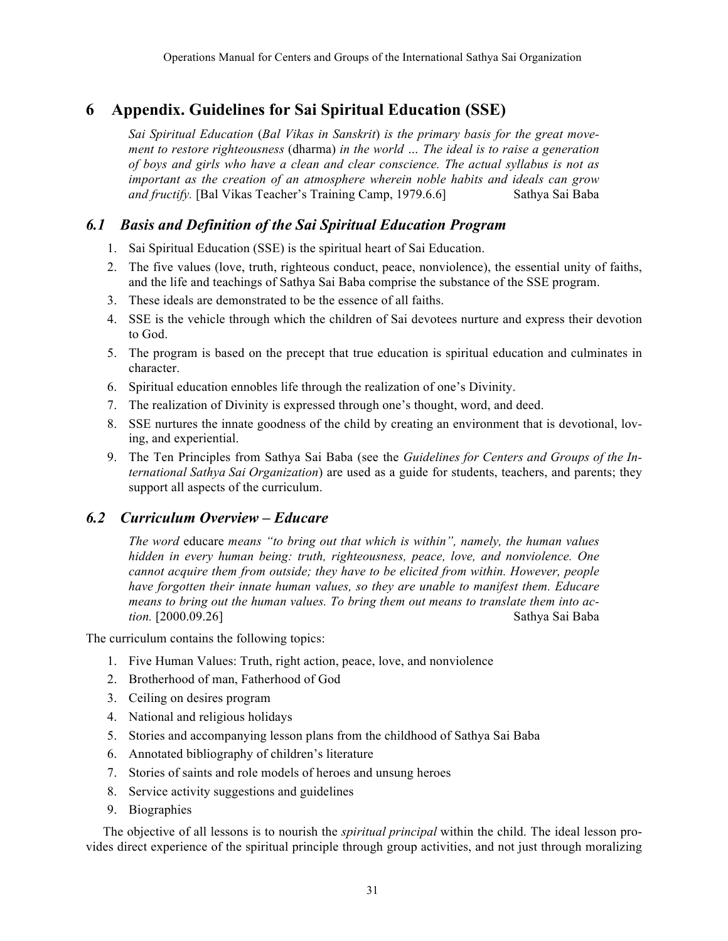# **6 Appendix. Guidelines for Sai Spiritual Education (SSE)**

*Sai Spiritual Education* (*Bal Vikas in Sanskrit*) *is the primary basis for the great movement to restore righteousness* (dharma) *in the world … The ideal is to raise a generation of boys and girls who have a clean and clear conscience. The actual syllabus is not as important as the creation of an atmosphere wherein noble habits and ideals can grow and fructify.* [Bal Vikas Teacher's Training Camp, 1979.6.6] Sathya Sai Baba

# *6.1 Basis and Definition of the Sai Spiritual Education Program*

- 1. Sai Spiritual Education (SSE) is the spiritual heart of Sai Education.
- 2. The five values (love, truth, righteous conduct, peace, nonviolence), the essential unity of faiths, and the life and teachings of Sathya Sai Baba comprise the substance of the SSE program.
- 3. These ideals are demonstrated to be the essence of all faiths.
- 4. SSE is the vehicle through which the children of Sai devotees nurture and express their devotion to God.
- 5. The program is based on the precept that true education is spiritual education and culminates in character.
- 6. Spiritual education ennobles life through the realization of one's Divinity.
- 7. The realization of Divinity is expressed through one's thought, word, and deed.
- 8. SSE nurtures the innate goodness of the child by creating an environment that is devotional, loving, and experiential.
- 9. The Ten Principles from Sathya Sai Baba (see the *Guidelines for Centers and Groups of the International Sathya Sai Organization*) are used as a guide for students, teachers, and parents; they support all aspects of the curriculum.

# *6.2 Curriculum Overview – Educare*

*The word* educare *means "to bring out that which is within", namely, the human values hidden in every human being: truth, righteousness, peace, love, and nonviolence. One cannot acquire them from outside; they have to be elicited from within. However, people have forgotten their innate human values, so they are unable to manifest them. Educare means to bring out the human values. To bring them out means to translate them into action.* [2000.09.26] Sathya Sai Baba

The curriculum contains the following topics:

- 1. Five Human Values: Truth, right action, peace, love, and nonviolence
- 2. Brotherhood of man, Fatherhood of God
- 3. Ceiling on desires program
- 4. National and religious holidays
- 5. Stories and accompanying lesson plans from the childhood of Sathya Sai Baba
- 6. Annotated bibliography of children's literature
- 7. Stories of saints and role models of heroes and unsung heroes
- 8. Service activity suggestions and guidelines
- 9. Biographies

The objective of all lessons is to nourish the *spiritual principal* within the child. The ideal lesson provides direct experience of the spiritual principle through group activities, and not just through moralizing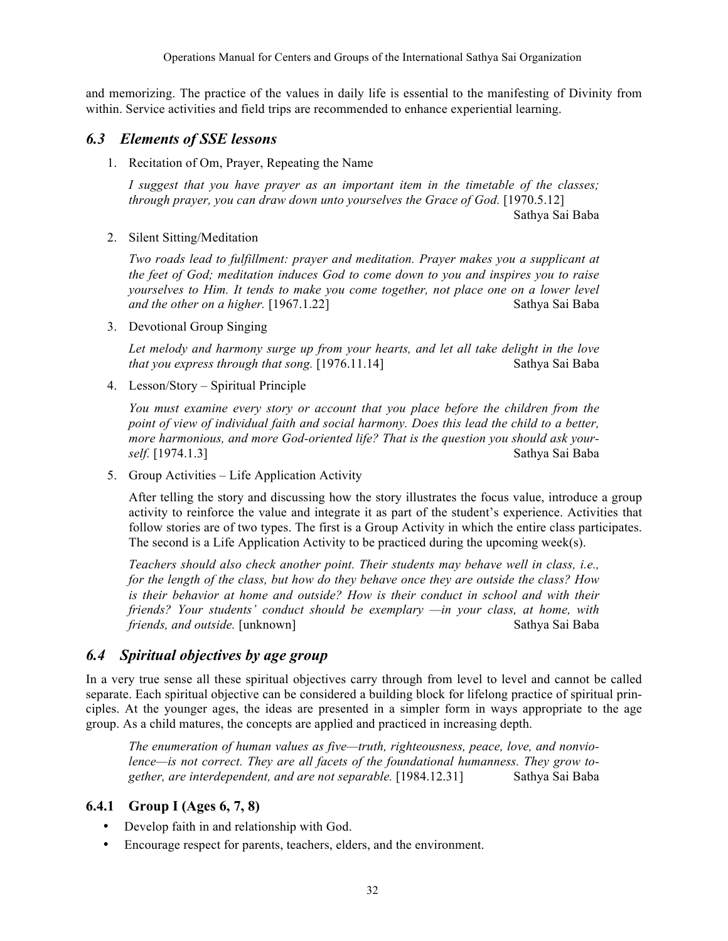and memorizing. The practice of the values in daily life is essential to the manifesting of Divinity from within. Service activities and field trips are recommended to enhance experiential learning.

# *6.3 Elements of SSE lessons*

1. Recitation of Om, Prayer, Repeating the Name

*I suggest that you have prayer as an important item in the timetable of the classes; through prayer, you can draw down unto yourselves the Grace of God.* [1970.5.12]

Sathya Sai Baba

2. Silent Sitting/Meditation

*Two roads lead to fulfillment: prayer and meditation. Prayer makes you a supplicant at the feet of God; meditation induces God to come down to you and inspires you to raise yourselves to Him. It tends to make you come together, not place one on a lower level and the other on a higher.* [1967.1.22] Sathya Sai Baba

3. Devotional Group Singing

*Let melody and harmony surge up from your hearts, and let all take delight in the love that you express through that song.* [1976.11.14] Sathya Sai Baba

4. Lesson/Story – Spiritual Principle

*You must examine every story or account that you place before the children from the point of view of individual faith and social harmony. Does this lead the child to a better, more harmonious, and more God-oriented life? That is the question you should ask yourself.* [1974.1.3] Sathya Sai Baba

5. Group Activities – Life Application Activity

After telling the story and discussing how the story illustrates the focus value, introduce a group activity to reinforce the value and integrate it as part of the student's experience. Activities that follow stories are of two types. The first is a Group Activity in which the entire class participates. The second is a Life Application Activity to be practiced during the upcoming week(s).

*Teachers should also check another point. Their students may behave well in class, i.e., for the length of the class, but how do they behave once they are outside the class? How is their behavior at home and outside? How is their conduct in school and with their friends? Your students' conduct should be exemplary —in your class, at home, with friends, and outside.* [unknown] Sathya Sai Baba Sai Baba

# *6.4 Spiritual objectives by age group*

In a very true sense all these spiritual objectives carry through from level to level and cannot be called separate. Each spiritual objective can be considered a building block for lifelong practice of spiritual principles. At the younger ages, the ideas are presented in a simpler form in ways appropriate to the age group. As a child matures, the concepts are applied and practiced in increasing depth.

*The enumeration of human values as five—truth, righteousness, peace, love, and nonviolence—is not correct. They are all facets of the foundational humanness. They grow together, are interdependent, and are not separable.* [1984.12.31] Sathya Sai Baba

### **6.4.1 Group I (Ages 6, 7, 8)**

- Develop faith in and relationship with God.
- Encourage respect for parents, teachers, elders, and the environment.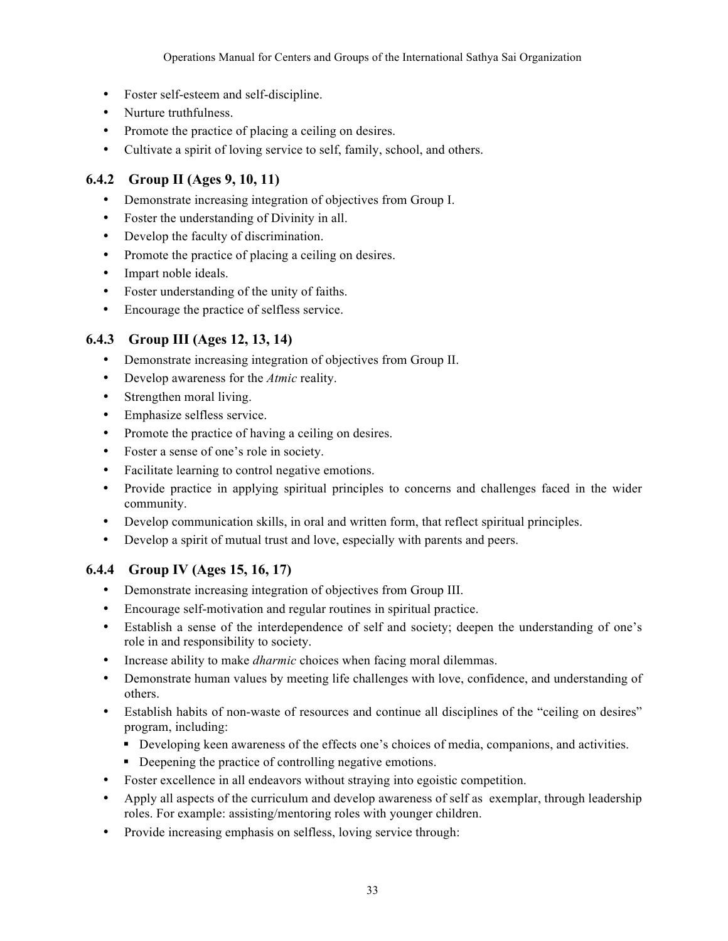- Foster self-esteem and self-discipline.
- Nurture truthfulness.
- Promote the practice of placing a ceiling on desires.
- Cultivate a spirit of loving service to self, family, school, and others.

# **6.4.2 Group II (Ages 9, 10, 11)**

- Demonstrate increasing integration of objectives from Group I.
- Foster the understanding of Divinity in all.
- Develop the faculty of discrimination.
- Promote the practice of placing a ceiling on desires.
- Impart noble ideals.
- Foster understanding of the unity of faiths.
- Encourage the practice of selfless service.

# **6.4.3 Group III (Ages 12, 13, 14)**

- Demonstrate increasing integration of objectives from Group II.
- Develop awareness for the *Atmic* reality.
- Strengthen moral living.
- Emphasize selfless service.
- Promote the practice of having a ceiling on desires.
- Foster a sense of one's role in society.
- Facilitate learning to control negative emotions.
- Provide practice in applying spiritual principles to concerns and challenges faced in the wider community.
- Develop communication skills, in oral and written form, that reflect spiritual principles.
- Develop a spirit of mutual trust and love, especially with parents and peers.

# **6.4.4 Group IV (Ages 15, 16, 17)**

- Demonstrate increasing integration of objectives from Group III.
- Encourage self-motivation and regular routines in spiritual practice.
- Establish a sense of the interdependence of self and society; deepen the understanding of one's role in and responsibility to society.
- Increase ability to make *dharmic* choices when facing moral dilemmas.
- Demonstrate human values by meeting life challenges with love, confidence, and understanding of others.
- Establish habits of non-waste of resources and continue all disciplines of the "ceiling on desires" program, including:
	- Developing keen awareness of the effects one's choices of media, companions, and activities.
	- Deepening the practice of controlling negative emotions.
- Foster excellence in all endeavors without straying into egoistic competition.
- Apply all aspects of the curriculum and develop awareness of self as exemplar, through leadership roles. For example: assisting/mentoring roles with younger children.
- Provide increasing emphasis on selfless, loving service through: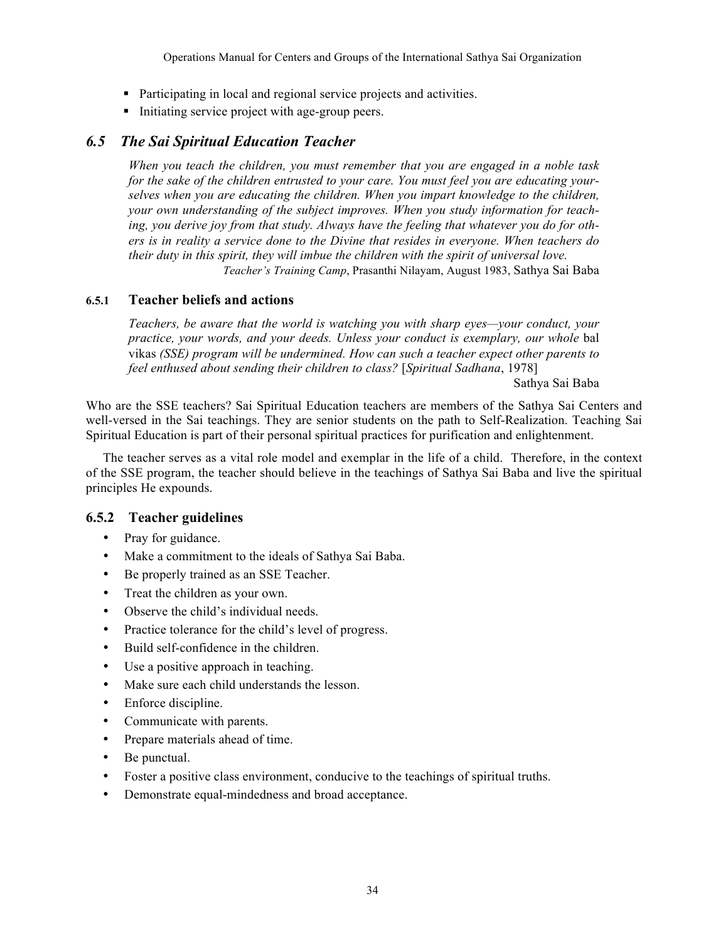- Participating in local and regional service projects and activities.
- Initiating service project with age-group peers.

# *6.5 The Sai Spiritual Education Teacher*

*When you teach the children, you must remember that you are engaged in a noble task for the sake of the children entrusted to your care. You must feel you are educating yourselves when you are educating the children. When you impart knowledge to the children, your own understanding of the subject improves. When you study information for teaching, you derive joy from that study. Always have the feeling that whatever you do for others is in reality a service done to the Divine that resides in everyone. When teachers do their duty in this spirit, they will imbue the children with the spirit of universal love.*

*Teacher's Training Camp*, Prasanthi Nilayam, August 1983, Sathya Sai Baba

### **6.5.1 Teacher beliefs and actions**

*Teachers, be aware that the world is watching you with sharp eyes—your conduct, your practice, your words, and your deeds. Unless your conduct is exemplary, our whole* bal vikas *(SSE) program will be undermined. How can such a teacher expect other parents to feel enthused about sending their children to class?* [*Spiritual Sadhana*, 1978]

Sathya Sai Baba

Who are the SSE teachers? Sai Spiritual Education teachers are members of the Sathya Sai Centers and well-versed in the Sai teachings. They are senior students on the path to Self-Realization. Teaching Sai Spiritual Education is part of their personal spiritual practices for purification and enlightenment.

The teacher serves as a vital role model and exemplar in the life of a child. Therefore, in the context of the SSE program, the teacher should believe in the teachings of Sathya Sai Baba and live the spiritual principles He expounds.

### **6.5.2 Teacher guidelines**

- Pray for guidance.
- Make a commitment to the ideals of Sathya Sai Baba.
- Be properly trained as an SSE Teacher.
- Treat the children as your own.
- Observe the child's individual needs.
- Practice tolerance for the child's level of progress.
- Build self-confidence in the children.
- Use a positive approach in teaching.
- Make sure each child understands the lesson.
- Enforce discipline.
- Communicate with parents.
- Prepare materials ahead of time.
- Be punctual.
- Foster a positive class environment, conducive to the teachings of spiritual truths.
- Demonstrate equal-mindedness and broad acceptance.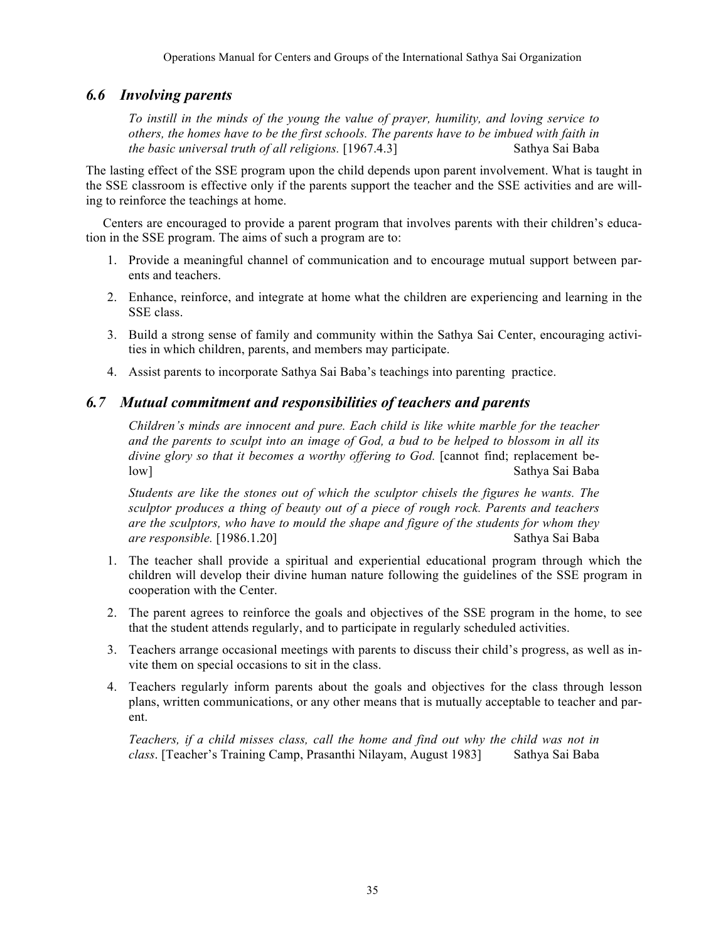# *6.6 Involving parents*

*To instill in the minds of the young the value of prayer, humility, and loving service to others, the homes have to be the first schools. The parents have to be imbued with faith in the basic universal truth of all religions.* [1967.4.3] Sathya Sai Baba

The lasting effect of the SSE program upon the child depends upon parent involvement. What is taught in the SSE classroom is effective only if the parents support the teacher and the SSE activities and are willing to reinforce the teachings at home.

Centers are encouraged to provide a parent program that involves parents with their children's education in the SSE program. The aims of such a program are to:

- 1. Provide a meaningful channel of communication and to encourage mutual support between parents and teachers.
- 2. Enhance, reinforce, and integrate at home what the children are experiencing and learning in the SSE class.
- 3. Build a strong sense of family and community within the Sathya Sai Center, encouraging activities in which children, parents, and members may participate.
- 4. Assist parents to incorporate Sathya Sai Baba's teachings into parenting practice.

# *6.7 Mutual commitment and responsibilities of teachers and parents*

*Children's minds are innocent and pure. Each child is like white marble for the teacher and the parents to sculpt into an image of God, a bud to be helped to blossom in all its divine glory so that it becomes a worthy offering to God.* [cannot find; replacement below] Sathya Sai Baba

*Students are like the stones out of which the sculptor chisels the figures he wants. The sculptor produces a thing of beauty out of a piece of rough rock. Parents and teachers are the sculptors, who have to mould the shape and figure of the students for whom they are responsible.* [1986.1.20] Sathya Sai Baba

- 1. The teacher shall provide a spiritual and experiential educational program through which the children will develop their divine human nature following the guidelines of the SSE program in cooperation with the Center.
- 2. The parent agrees to reinforce the goals and objectives of the SSE program in the home, to see that the student attends regularly, and to participate in regularly scheduled activities.
- 3. Teachers arrange occasional meetings with parents to discuss their child's progress, as well as invite them on special occasions to sit in the class.
- 4. Teachers regularly inform parents about the goals and objectives for the class through lesson plans, written communications, or any other means that is mutually acceptable to teacher and parent.

*Teachers, if a child misses class, call the home and find out why the child was not in class*. [Teacher's Training Camp, Prasanthi Nilayam, August 1983] Sathya Sai Baba